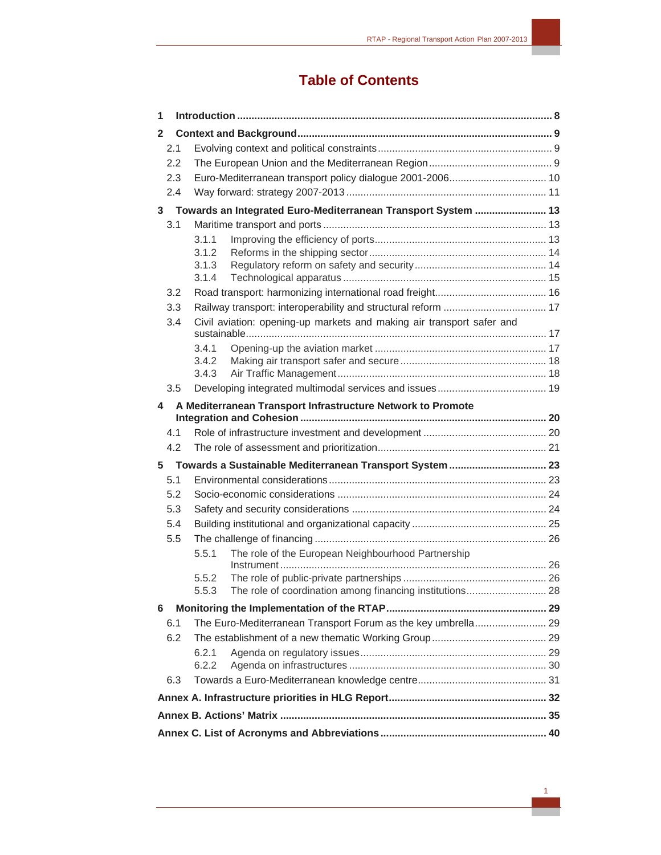# **Table of Contents**

| $\mathbf{2}$ |                                                                       |  |
|--------------|-----------------------------------------------------------------------|--|
| 2.1          |                                                                       |  |
| 2.2          |                                                                       |  |
| 2.3          | Euro-Mediterranean transport policy dialogue 2001-2006 10             |  |
| 2.4          |                                                                       |  |
|              | 3 Towards an Integrated Euro-Mediterranean Transport System  13       |  |
| 3.1          |                                                                       |  |
|              | 3.1.1                                                                 |  |
|              | 3.1.2                                                                 |  |
|              | 3.1.3                                                                 |  |
|              | 3.1.4                                                                 |  |
| 3.2          |                                                                       |  |
| 3.3<br>3.4   | Civil aviation: opening-up markets and making air transport safer and |  |
|              |                                                                       |  |
|              | 3.4.1                                                                 |  |
|              | 3.4.2                                                                 |  |
|              | 3.4.3                                                                 |  |
| 3.5          |                                                                       |  |
| 4            | A Mediterranean Transport Infrastructure Network to Promote           |  |
|              |                                                                       |  |
| 4.1          |                                                                       |  |
| 4.2          |                                                                       |  |
| 5            | Towards a Sustainable Mediterranean Transport System  23              |  |
|              |                                                                       |  |
| 5.1          |                                                                       |  |
| 5.2          |                                                                       |  |
| 5.3          |                                                                       |  |
| 5.4          |                                                                       |  |
| 5.5          |                                                                       |  |
|              | The role of the European Neighbourhood Partnership<br>5.5.1           |  |
|              | 5.5.2                                                                 |  |
|              | 5.5.3                                                                 |  |
| 6            |                                                                       |  |
| 6.1          | The Euro-Mediterranean Transport Forum as the key umbrella 29         |  |
| 6.2          |                                                                       |  |
|              | 6.2.1                                                                 |  |
|              | 6.2.2                                                                 |  |
| 6.3          |                                                                       |  |
|              |                                                                       |  |
|              |                                                                       |  |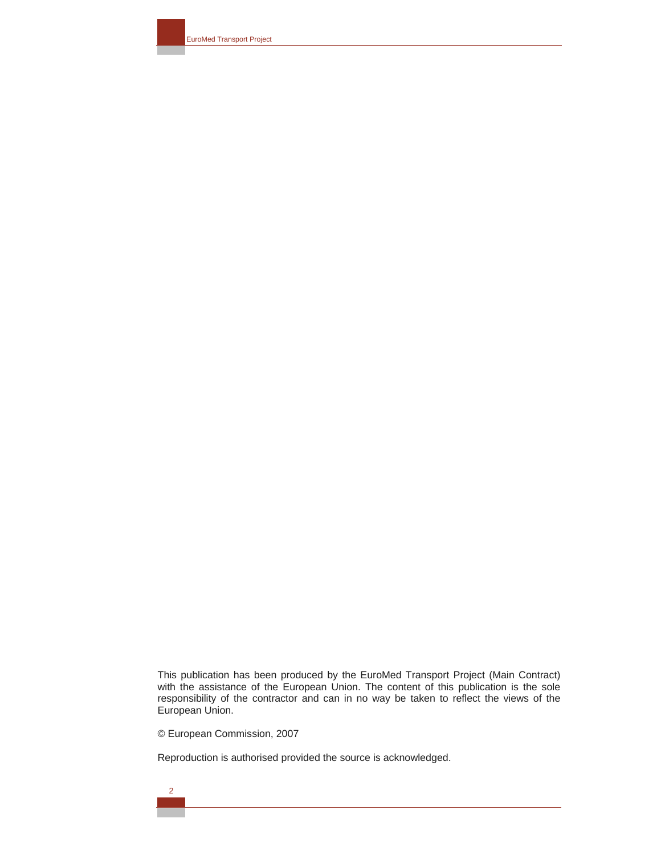EuroMed Transport Project

This publication has been produced by the EuroMed Transport Project (Main Contract) with the assistance of the European Union. The content of this publication is the sole responsibility of the contractor and can in no way be taken to reflect the views of the European Union.

© European Commission, 2007

Reproduction is authorised provided the source is acknowledged.

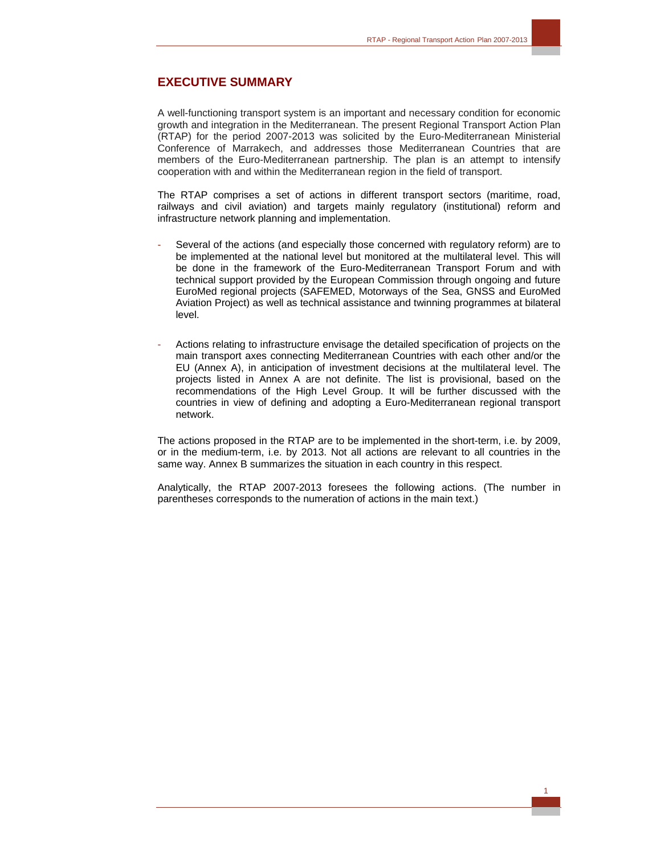## **EXECUTIVE SUMMARY**

A well-functioning transport system is an important and necessary condition for economic growth and integration in the Mediterranean. The present Regional Transport Action Plan (RTAP) for the period 2007-2013 was solicited by the Euro-Mediterranean Ministerial Conference of Marrakech, and addresses those Mediterranean Countries that are members of the Euro-Mediterranean partnership. The plan is an attempt to intensify cooperation with and within the Mediterranean region in the field of transport.

The RTAP comprises a set of actions in different transport sectors (maritime, road, railways and civil aviation) and targets mainly regulatory (institutional) reform and infrastructure network planning and implementation.

- Several of the actions (and especially those concerned with regulatory reform) are to be implemented at the national level but monitored at the multilateral level. This will be done in the framework of the Euro-Mediterranean Transport Forum and with technical support provided by the European Commission through ongoing and future EuroMed regional projects (SAFEMED, Motorways of the Sea, GNSS and EuroMed Aviation Project) as well as technical assistance and twinning programmes at bilateral level.
- Actions relating to infrastructure envisage the detailed specification of projects on the main transport axes connecting Mediterranean Countries with each other and/or the EU (Annex A), in anticipation of investment decisions at the multilateral level. The projects listed in Annex A are not definite. The list is provisional, based on the recommendations of the High Level Group. It will be further discussed with the countries in view of defining and adopting a Euro-Mediterranean regional transport network.

The actions proposed in the RTAP are to be implemented in the short-term, i.e. by 2009, or in the medium-term, i.e. by 2013. Not all actions are relevant to all countries in the same way. Annex B summarizes the situation in each country in this respect.

Analytically, the RTAP 2007-2013 foresees the following actions. (The number in parentheses corresponds to the numeration of actions in the main text.)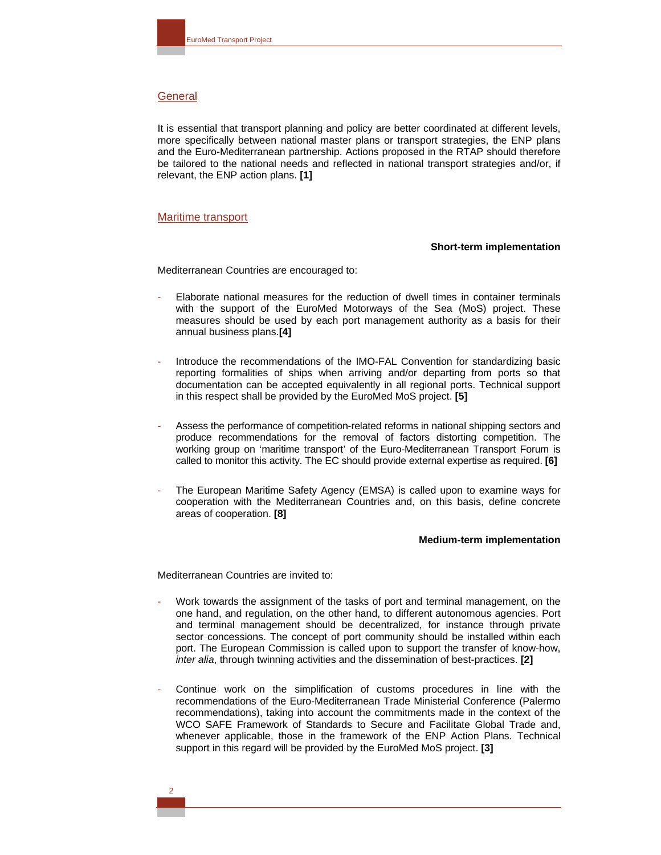## **General**

It is essential that transport planning and policy are better coordinated at different levels, more specifically between national master plans or transport strategies, the ENP plans and the Euro-Mediterranean partnership. Actions proposed in the RTAP should therefore be tailored to the national needs and reflected in national transport strategies and/or, if relevant, the ENP action plans. **[1]** 

#### Maritime transport

#### **Short-term implementation**

Mediterranean Countries are encouraged to:

- Elaborate national measures for the reduction of dwell times in container terminals with the support of the EuroMed Motorways of the Sea (MoS) project. These measures should be used by each port management authority as a basis for their annual business plans.**[4]**
- Introduce the recommendations of the IMO-FAL Convention for standardizing basic reporting formalities of ships when arriving and/or departing from ports so that documentation can be accepted equivalently in all regional ports. Technical support in this respect shall be provided by the EuroMed MoS project. **[5]**
- Assess the performance of competition-related reforms in national shipping sectors and produce recommendations for the removal of factors distorting competition. The working group on 'maritime transport' of the Euro-Mediterranean Transport Forum is called to monitor this activity. The EC should provide external expertise as required. **[6]**
- The European Maritime Safety Agency (EMSA) is called upon to examine ways for cooperation with the Mediterranean Countries and, on this basis, define concrete areas of cooperation. **[8]**

#### **Medium-term implementation**

Mediterranean Countries are invited to:

- Work towards the assignment of the tasks of port and terminal management, on the one hand, and regulation, on the other hand, to different autonomous agencies. Port and terminal management should be decentralized, for instance through private sector concessions. The concept of port community should be installed within each port. The European Commission is called upon to support the transfer of know-how, *inter alia*, through twinning activities and the dissemination of best-practices. **[2]**
- Continue work on the simplification of customs procedures in line with the recommendations of the Euro-Mediterranean Trade Ministerial Conference (Palermo recommendations), taking into account the commitments made in the context of the WCO SAFE Framework of Standards to Secure and Facilitate Global Trade and, whenever applicable, those in the framework of the ENP Action Plans. Technical support in this regard will be provided by the EuroMed MoS project. **[3]**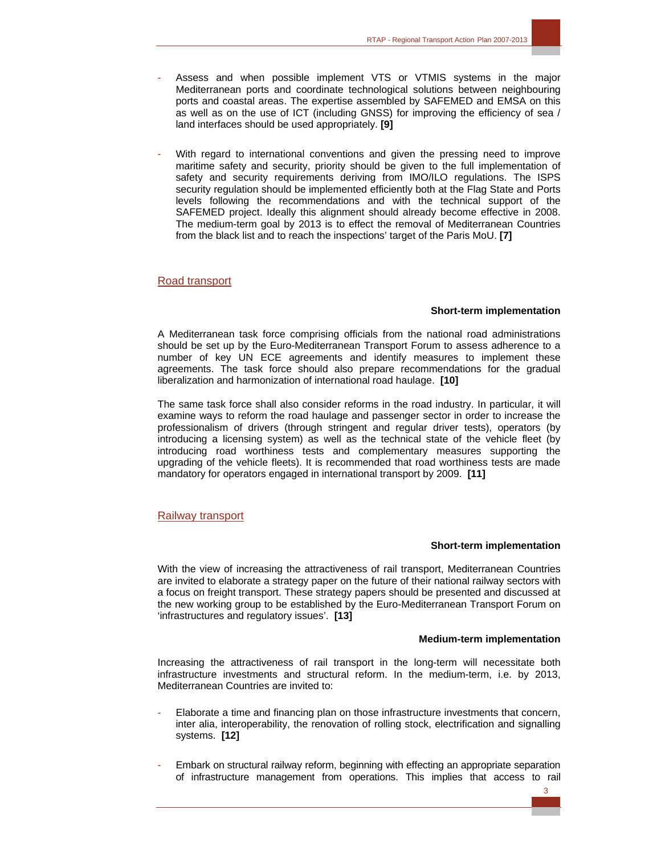- Assess and when possible implement VTS or VTMIS systems in the major Mediterranean ports and coordinate technological solutions between neighbouring ports and coastal areas. The expertise assembled by SAFEMED and EMSA on this as well as on the use of ICT (including GNSS) for improving the efficiency of sea / land interfaces should be used appropriately. **[9]**
- With regard to international conventions and given the pressing need to improve maritime safety and security, priority should be given to the full implementation of safety and security requirements deriving from IMO/ILO regulations. The ISPS security regulation should be implemented efficiently both at the Flag State and Ports levels following the recommendations and with the technical support of the SAFEMED project. Ideally this alignment should already become effective in 2008. The medium-term goal by 2013 is to effect the removal of Mediterranean Countries from the black list and to reach the inspections' target of the Paris MoU. **[7]**

#### Road transport

#### **Short-term implementation**

A Mediterranean task force comprising officials from the national road administrations should be set up by the Euro-Mediterranean Transport Forum to assess adherence to a number of key UN ECE agreements and identify measures to implement these agreements. The task force should also prepare recommendations for the gradual liberalization and harmonization of international road haulage. **[10]** 

The same task force shall also consider reforms in the road industry. In particular, it will examine ways to reform the road haulage and passenger sector in order to increase the professionalism of drivers (through stringent and regular driver tests), operators (by introducing a licensing system) as well as the technical state of the vehicle fleet (by introducing road worthiness tests and complementary measures supporting the upgrading of the vehicle fleets). It is recommended that road worthiness tests are made mandatory for operators engaged in international transport by 2009. **[11]** 

#### Railway transport

#### **Short-term implementation**

With the view of increasing the attractiveness of rail transport, Mediterranean Countries are invited to elaborate a strategy paper on the future of their national railway sectors with a focus on freight transport. These strategy papers should be presented and discussed at the new working group to be established by the Euro-Mediterranean Transport Forum on 'infrastructures and regulatory issues'. **[13]** 

#### **Medium-term implementation**

Increasing the attractiveness of rail transport in the long-term will necessitate both infrastructure investments and structural reform. In the medium-term, i.e. by 2013, Mediterranean Countries are invited to:

- Elaborate a time and financing plan on those infrastructure investments that concern, inter alia, interoperability, the renovation of rolling stock, electrification and signalling systems. **[12]**
- Embark on structural railway reform, beginning with effecting an appropriate separation of infrastructure management from operations. This implies that access to rail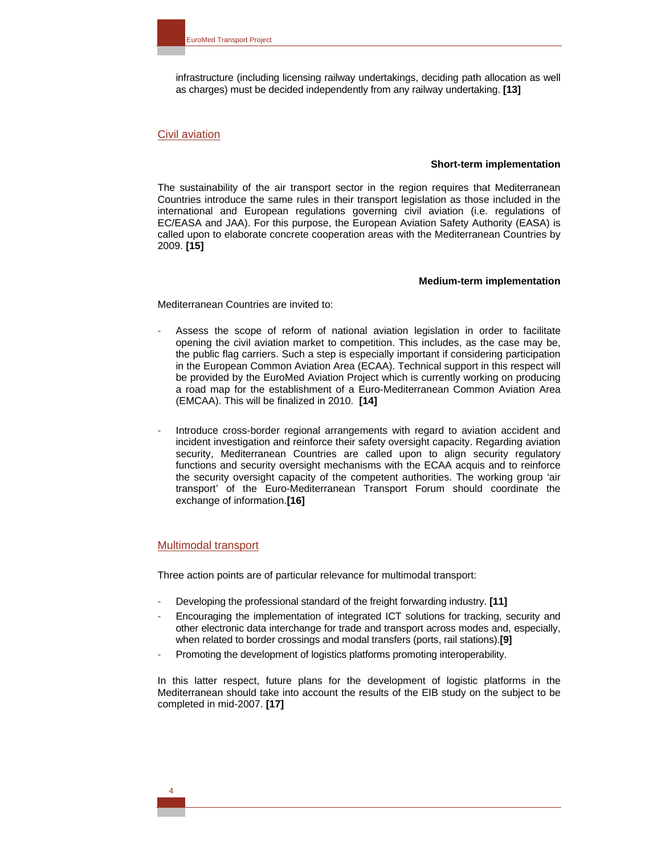infrastructure (including licensing railway undertakings, deciding path allocation as well as charges) must be decided independently from any railway undertaking. **[13]** 

#### Civil aviation

#### **Short-term implementation**

The sustainability of the air transport sector in the region requires that Mediterranean Countries introduce the same rules in their transport legislation as those included in the international and European regulations governing civil aviation (i.e. regulations of EC/EASA and JAA). For this purpose, the European Aviation Safety Authority (EASA) is called upon to elaborate concrete cooperation areas with the Mediterranean Countries by 2009. **[15]** 

#### **Medium-term implementation**

Mediterranean Countries are invited to:

- Assess the scope of reform of national aviation legislation in order to facilitate opening the civil aviation market to competition. This includes, as the case may be, the public flag carriers. Such a step is especially important if considering participation in the European Common Aviation Area (ECAA). Technical support in this respect will be provided by the EuroMed Aviation Project which is currently working on producing a road map for the establishment of a Euro-Mediterranean Common Aviation Area (EMCAA). This will be finalized in 2010. **[14]**
- Introduce cross-border regional arrangements with regard to aviation accident and incident investigation and reinforce their safety oversight capacity. Regarding aviation security, Mediterranean Countries are called upon to align security regulatory functions and security oversight mechanisms with the ECAA acquis and to reinforce the security oversight capacity of the competent authorities. The working group 'air transport' of the Euro-Mediterranean Transport Forum should coordinate the exchange of information.**[16]**

## Multimodal transport

Three action points are of particular relevance for multimodal transport:

- Developing the professional standard of the freight forwarding industry. **[11]**
- Encouraging the implementation of integrated ICT solutions for tracking, security and other electronic data interchange for trade and transport across modes and, especially, when related to border crossings and modal transfers (ports, rail stations).**[9]**
- Promoting the development of logistics platforms promoting interoperability.

In this latter respect, future plans for the development of logistic platforms in the Mediterranean should take into account the results of the EIB study on the subject to be completed in mid-2007. **[17]**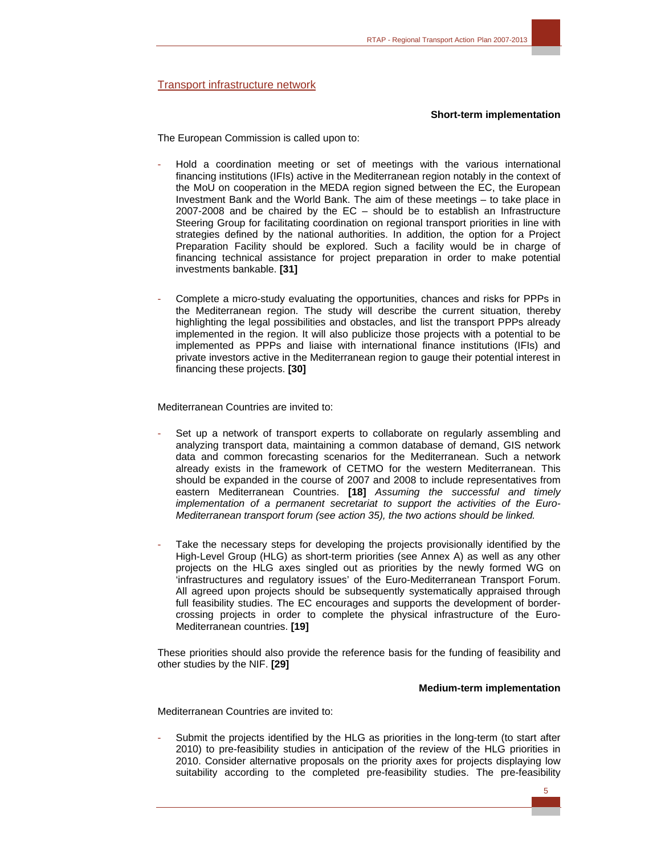Transport infrastructure network

#### **Short-term implementation**

The European Commission is called upon to:

- Hold a coordination meeting or set of meetings with the various international financing institutions (IFIs) active in the Mediterranean region notably in the context of the MoU on cooperation in the MEDA region signed between the EC, the European Investment Bank and the World Bank. The aim of these meetings – to take place in 2007-2008 and be chaired by the EC – should be to establish an Infrastructure Steering Group for facilitating coordination on regional transport priorities in line with strategies defined by the national authorities. In addition, the option for a Project Preparation Facility should be explored. Such a facility would be in charge of financing technical assistance for project preparation in order to make potential investments bankable. **[31]**
- Complete a micro-study evaluating the opportunities, chances and risks for PPPs in the Mediterranean region. The study will describe the current situation, thereby highlighting the legal possibilities and obstacles, and list the transport PPPs already implemented in the region. It will also publicize those projects with a potential to be implemented as PPPs and liaise with international finance institutions (IFIs) and private investors active in the Mediterranean region to gauge their potential interest in financing these projects. **[30]**

Mediterranean Countries are invited to:

- Set up a network of transport experts to collaborate on regularly assembling and analyzing transport data, maintaining a common database of demand, GIS network data and common forecasting scenarios for the Mediterranean. Such a network already exists in the framework of CETMO for the western Mediterranean. This should be expanded in the course of 2007 and 2008 to include representatives from eastern Mediterranean Countries. **[18]** *Assuming the successful and timely implementation of a permanent secretariat to support the activities of the Euro-Mediterranean transport forum (see action 35), the two actions should be linked.*
- Take the necessary steps for developing the projects provisionally identified by the High-Level Group (HLG) as short-term priorities (see Annex A) as well as any other projects on the HLG axes singled out as priorities by the newly formed WG on 'infrastructures and regulatory issues' of the Euro-Mediterranean Transport Forum. All agreed upon projects should be subsequently systematically appraised through full feasibility studies. The EC encourages and supports the development of bordercrossing projects in order to complete the physical infrastructure of the Euro-Mediterranean countries. **[19]**

These priorities should also provide the reference basis for the funding of feasibility and other studies by the NIF. **[29]** 

#### **Medium-term implementation**

Mediterranean Countries are invited to:

Submit the projects identified by the HLG as priorities in the long-term (to start after 2010) to pre-feasibility studies in anticipation of the review of the HLG priorities in 2010. Consider alternative proposals on the priority axes for projects displaying low suitability according to the completed pre-feasibility studies. The pre-feasibility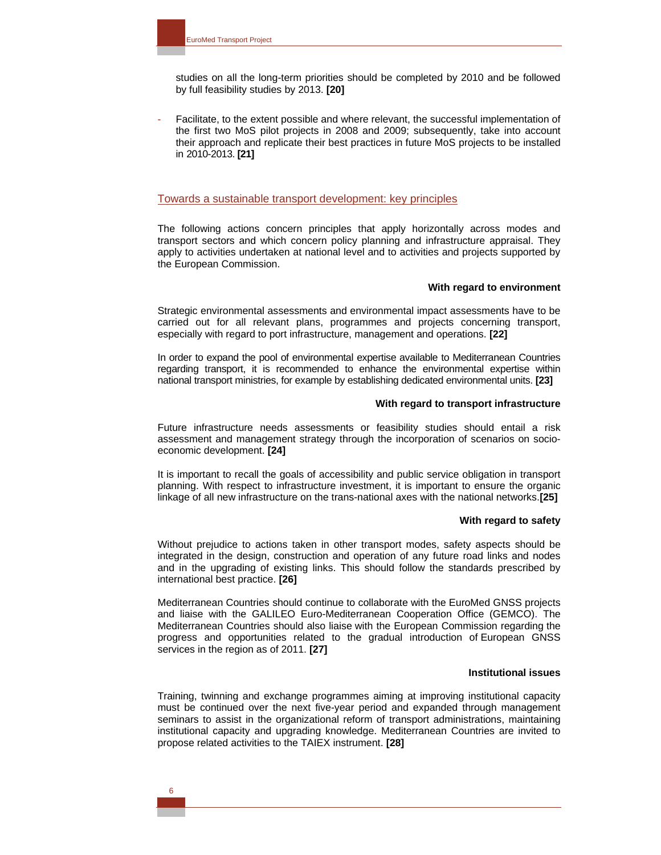studies on all the long-term priorities should be completed by 2010 and be followed by full feasibility studies by 2013. **[20]** 

Facilitate, to the extent possible and where relevant, the successful implementation of the first two MoS pilot projects in 2008 and 2009; subsequently, take into account their approach and replicate their best practices in future MoS projects to be installed in 2010-2013. **[21]** 

#### Towards a sustainable transport development: key principles

The following actions concern principles that apply horizontally across modes and transport sectors and which concern policy planning and infrastructure appraisal. They apply to activities undertaken at national level and to activities and projects supported by the European Commission.

#### **With regard to environment**

Strategic environmental assessments and environmental impact assessments have to be carried out for all relevant plans, programmes and projects concerning transport, especially with regard to port infrastructure, management and operations. **[22]** 

In order to expand the pool of environmental expertise available to Mediterranean Countries regarding transport, it is recommended to enhance the environmental expertise within national transport ministries, for example by establishing dedicated environmental units. **[23]** 

#### **With regard to transport infrastructure**

Future infrastructure needs assessments or feasibility studies should entail a risk assessment and management strategy through the incorporation of scenarios on socioeconomic development. **[24]** 

It is important to recall the goals of accessibility and public service obligation in transport planning. With respect to infrastructure investment, it is important to ensure the organic linkage of all new infrastructure on the trans-national axes with the national networks.**[25]** 

#### **With regard to safety**

Without prejudice to actions taken in other transport modes, safety aspects should be integrated in the design, construction and operation of any future road links and nodes and in the upgrading of existing links. This should follow the standards prescribed by international best practice. **[26]** 

Mediterranean Countries should continue to collaborate with the EuroMed GNSS projects and liaise with the GALILEO Euro-Mediterranean Cooperation Office (GEMCO). The Mediterranean Countries should also liaise with the European Commission regarding the progress and opportunities related to the gradual introduction of European GNSS services in the region as of 2011. **[27]** 

#### **Institutional issues**

Training, twinning and exchange programmes aiming at improving institutional capacity must be continued over the next five-year period and expanded through management seminars to assist in the organizational reform of transport administrations, maintaining institutional capacity and upgrading knowledge. Mediterranean Countries are invited to propose related activities to the TAIEX instrument. **[28]**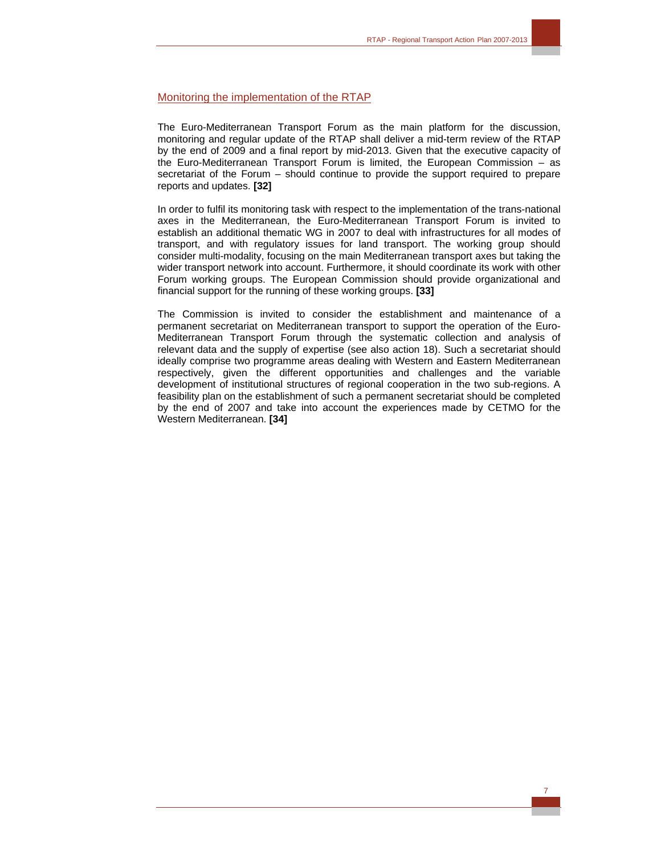## Monitoring the implementation of the RTAP

The Euro-Mediterranean Transport Forum as the main platform for the discussion, monitoring and regular update of the RTAP shall deliver a mid-term review of the RTAP by the end of 2009 and a final report by mid-2013. Given that the executive capacity of the Euro-Mediterranean Transport Forum is limited, the European Commission – as secretariat of the Forum – should continue to provide the support required to prepare reports and updates. **[32]** 

In order to fulfil its monitoring task with respect to the implementation of the trans-national axes in the Mediterranean, the Euro-Mediterranean Transport Forum is invited to establish an additional thematic WG in 2007 to deal with infrastructures for all modes of transport, and with regulatory issues for land transport. The working group should consider multi-modality, focusing on the main Mediterranean transport axes but taking the wider transport network into account. Furthermore, it should coordinate its work with other Forum working groups. The European Commission should provide organizational and financial support for the running of these working groups. **[33]** 

The Commission is invited to consider the establishment and maintenance of a permanent secretariat on Mediterranean transport to support the operation of the Euro-Mediterranean Transport Forum through the systematic collection and analysis of relevant data and the supply of expertise (see also action 18). Such a secretariat should ideally comprise two programme areas dealing with Western and Eastern Mediterranean respectively, given the different opportunities and challenges and the variable development of institutional structures of regional cooperation in the two sub-regions. A feasibility plan on the establishment of such a permanent secretariat should be completed by the end of 2007 and take into account the experiences made by CETMO for the Western Mediterranean. **[34]**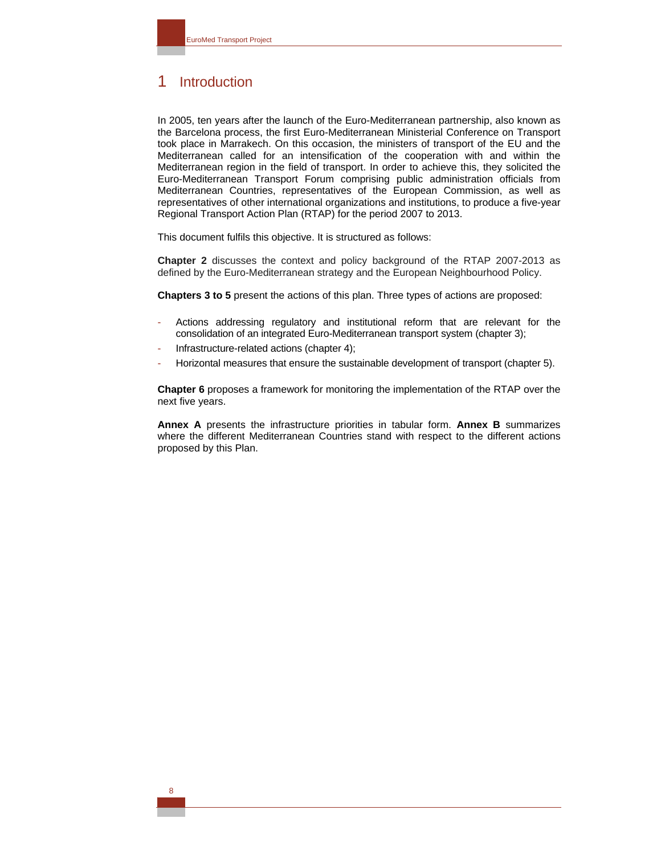## 1 Introduction

In 2005, ten years after the launch of the Euro-Mediterranean partnership, also known as the Barcelona process, the first Euro-Mediterranean Ministerial Conference on Transport took place in Marrakech. On this occasion, the ministers of transport of the EU and the Mediterranean called for an intensification of the cooperation with and within the Mediterranean region in the field of transport. In order to achieve this, they solicited the Euro-Mediterranean Transport Forum comprising public administration officials from Mediterranean Countries, representatives of the European Commission, as well as representatives of other international organizations and institutions, to produce a five-year Regional Transport Action Plan (RTAP) for the period 2007 to 2013.

This document fulfils this objective. It is structured as follows:

**Chapter 2** discusses the context and policy background of the RTAP 2007-2013 as defined by the Euro-Mediterranean strategy and the European Neighbourhood Policy.

**Chapters 3 to 5** present the actions of this plan. Three types of actions are proposed:

- Actions addressing regulatory and institutional reform that are relevant for the consolidation of an integrated Euro-Mediterranean transport system (chapter 3);
- Infrastructure-related actions (chapter 4);
- Horizontal measures that ensure the sustainable development of transport (chapter 5).

**Chapter 6** proposes a framework for monitoring the implementation of the RTAP over the next five years.

**Annex A** presents the infrastructure priorities in tabular form. **Annex B** summarizes where the different Mediterranean Countries stand with respect to the different actions proposed by this Plan.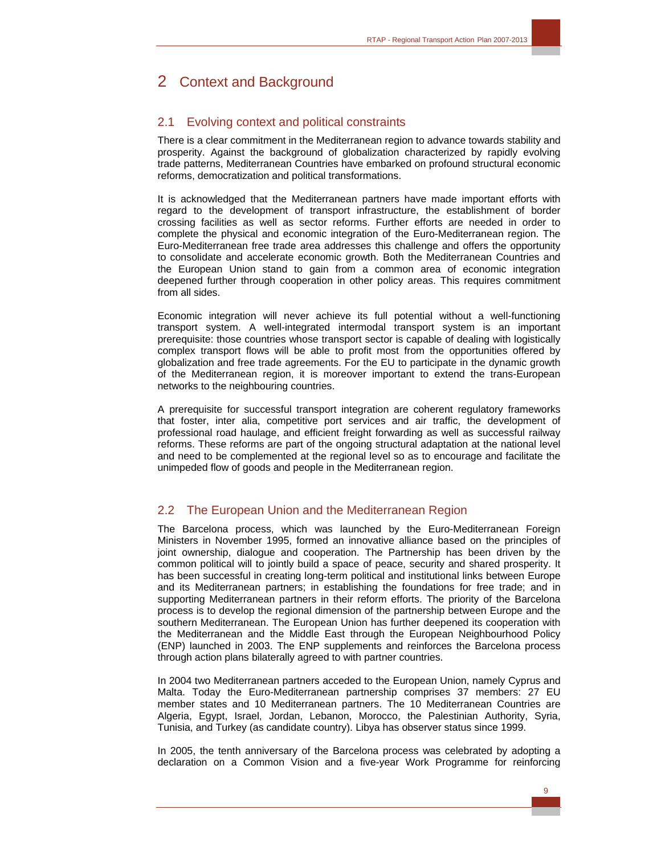# 2 Context and Background

## 2.1 Evolving context and political constraints

There is a clear commitment in the Mediterranean region to advance towards stability and prosperity. Against the background of globalization characterized by rapidly evolving trade patterns, Mediterranean Countries have embarked on profound structural economic reforms, democratization and political transformations.

It is acknowledged that the Mediterranean partners have made important efforts with regard to the development of transport infrastructure, the establishment of border crossing facilities as well as sector reforms. Further efforts are needed in order to complete the physical and economic integration of the Euro-Mediterranean region. The Euro-Mediterranean free trade area addresses this challenge and offers the opportunity to consolidate and accelerate economic growth. Both the Mediterranean Countries and the European Union stand to gain from a common area of economic integration deepened further through cooperation in other policy areas. This requires commitment from all sides.

Economic integration will never achieve its full potential without a well-functioning transport system. A well-integrated intermodal transport system is an important prerequisite: those countries whose transport sector is capable of dealing with logistically complex transport flows will be able to profit most from the opportunities offered by globalization and free trade agreements. For the EU to participate in the dynamic growth of the Mediterranean region, it is moreover important to extend the trans-European networks to the neighbouring countries.

A prerequisite for successful transport integration are coherent regulatory frameworks that foster, inter alia, competitive port services and air traffic, the development of professional road haulage, and efficient freight forwarding as well as successful railway reforms. These reforms are part of the ongoing structural adaptation at the national level and need to be complemented at the regional level so as to encourage and facilitate the unimpeded flow of goods and people in the Mediterranean region.

## 2.2 The European Union and the Mediterranean Region

The Barcelona process, which was launched by the Euro-Mediterranean Foreign Ministers in November 1995, formed an innovative alliance based on the principles of joint ownership, dialogue and cooperation. The Partnership has been driven by the common political will to jointly build a space of peace, security and shared prosperity. It has been successful in creating long-term political and institutional links between Europe and its Mediterranean partners; in establishing the foundations for free trade; and in supporting Mediterranean partners in their reform efforts. The priority of the Barcelona process is to develop the regional dimension of the partnership between Europe and the southern Mediterranean. The European Union has further deepened its cooperation with the Mediterranean and the Middle East through the European Neighbourhood Policy (ENP) launched in 2003. The ENP supplements and reinforces the Barcelona process through action plans bilaterally agreed to with partner countries.

In 2004 two Mediterranean partners acceded to the European Union, namely Cyprus and Malta. Today the Euro-Mediterranean partnership comprises 37 members: 27 EU member states and 10 Mediterranean partners. The 10 Mediterranean Countries are Algeria, Egypt, Israel, Jordan, Lebanon, Morocco, the Palestinian Authority, Syria, Tunisia, and Turkey (as candidate country). Libya has observer status since 1999.

In 2005, the tenth anniversary of the Barcelona process was celebrated by adopting a declaration on a Common Vision and a five-year Work Programme for reinforcing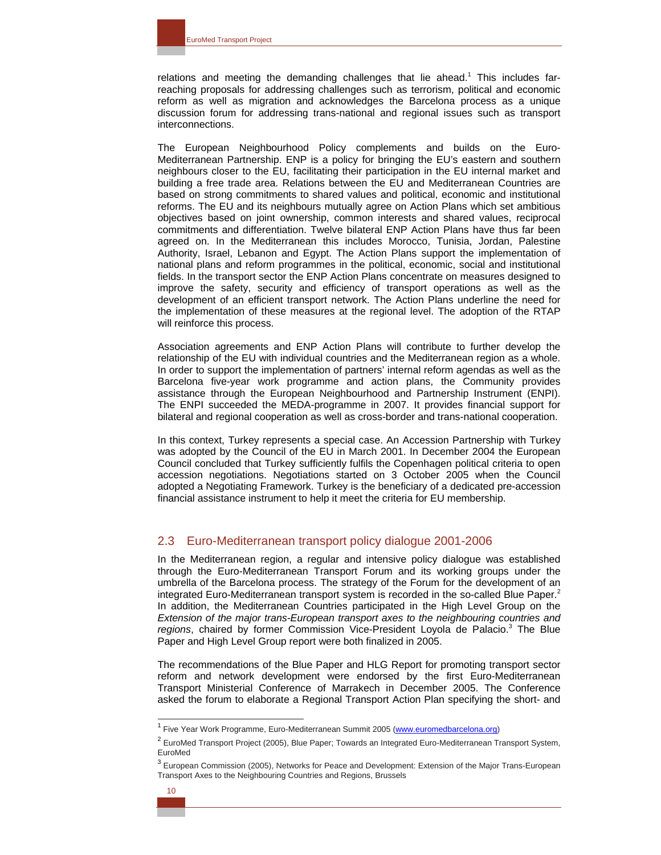relations and meeting the demanding challenges that lie ahead.<sup>1</sup> This includes farreaching proposals for addressing challenges such as terrorism, political and economic reform as well as migration and acknowledges the Barcelona process as a unique discussion forum for addressing trans-national and regional issues such as transport interconnections.

The European Neighbourhood Policy complements and builds on the Euro-Mediterranean Partnership. ENP is a policy for bringing the EU's eastern and southern neighbours closer to the EU, facilitating their participation in the EU internal market and building a free trade area. Relations between the EU and Mediterranean Countries are based on strong commitments to shared values and political, economic and institutional reforms. The EU and its neighbours mutually agree on Action Plans which set ambitious objectives based on joint ownership, common interests and shared values, reciprocal commitments and differentiation. Twelve bilateral ENP Action Plans have thus far been agreed on. In the Mediterranean this includes Morocco, Tunisia, Jordan, Palestine Authority, Israel, Lebanon and Egypt. The Action Plans support the implementation of national plans and reform programmes in the political, economic, social and institutional fields. In the transport sector the ENP Action Plans concentrate on measures designed to improve the safety, security and efficiency of transport operations as well as the development of an efficient transport network. The Action Plans underline the need for the implementation of these measures at the regional level. The adoption of the RTAP will reinforce this process.

Association agreements and ENP Action Plans will contribute to further develop the relationship of the EU with individual countries and the Mediterranean region as a whole. In order to support the implementation of partners' internal reform agendas as well as the Barcelona five-year work programme and action plans, the Community provides assistance through the European Neighbourhood and Partnership Instrument (ENPI). The ENPI succeeded the MEDA-programme in 2007. It provides financial support for bilateral and regional cooperation as well as cross-border and trans-national cooperation.

In this context, Turkey represents a special case. An Accession Partnership with Turkey was adopted by the Council of the EU in March 2001. In December 2004 the European Council concluded that Turkey sufficiently fulfils the Copenhagen political criteria to open accession negotiations. Negotiations started on 3 October 2005 when the Council adopted a Negotiating Framework. Turkey is the beneficiary of a dedicated pre-accession financial assistance instrument to help it meet the criteria for EU membership.

## 2.3 Euro-Mediterranean transport policy dialogue 2001-2006

In the Mediterranean region, a regular and intensive policy dialogue was established through the Euro-Mediterranean Transport Forum and its working groups under the umbrella of the Barcelona process. The strategy of the Forum for the development of an integrated Euro-Mediterranean transport system is recorded in the so-called Blue Paper. $2$ In addition, the Mediterranean Countries participated in the High Level Group on the *Extension of the major trans-European transport axes to the neighbouring countries and*  regions, chaired by former Commission Vice-President Loyola de Palacio.<sup>3</sup> The Blue Paper and High Level Group report were both finalized in 2005.

The recommendations of the Blue Paper and HLG Report for promoting transport sector reform and network development were endorsed by the first Euro-Mediterranean Transport Ministerial Conference of Marrakech in December 2005. The Conference asked the forum to elaborate a Regional Transport Action Plan specifying the short- and

 $\overline{a}$ 

<sup>&</sup>lt;sup>1</sup> Five Year Work Programme, Euro-Mediterranean Summit 2005 (www.euromedbarcelona.org)

<sup>&</sup>lt;sup>2</sup> EuroMed Transport Project (2005), Blue Paper; Towards an Integrated Euro-Mediterranean Transport System, EuroMed

<sup>&</sup>lt;sup>3</sup> European Commission (2005), Networks for Peace and Development: Extension of the Major Trans-European Transport Axes to the Neighbouring Countries and Regions, Brussels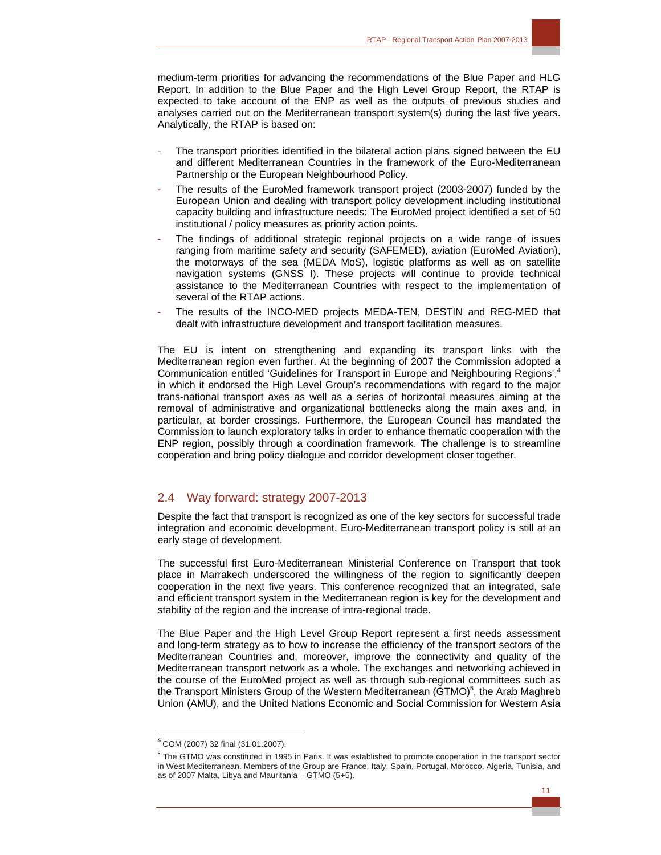medium-term priorities for advancing the recommendations of the Blue Paper and HLG Report. In addition to the Blue Paper and the High Level Group Report, the RTAP is expected to take account of the ENP as well as the outputs of previous studies and analyses carried out on the Mediterranean transport system(s) during the last five years. Analytically, the RTAP is based on:

- The transport priorities identified in the bilateral action plans signed between the EU and different Mediterranean Countries in the framework of the Euro-Mediterranean Partnership or the European Neighbourhood Policy.
- The results of the EuroMed framework transport project (2003-2007) funded by the European Union and dealing with transport policy development including institutional capacity building and infrastructure needs: The EuroMed project identified a set of 50 institutional / policy measures as priority action points.
- The findings of additional strategic regional projects on a wide range of issues ranging from maritime safety and security (SAFEMED), aviation (EuroMed Aviation), the motorways of the sea (MEDA MoS), logistic platforms as well as on satellite navigation systems (GNSS I). These projects will continue to provide technical assistance to the Mediterranean Countries with respect to the implementation of several of the RTAP actions.
- The results of the INCO-MED projects MEDA-TEN, DESTIN and REG-MED that dealt with infrastructure development and transport facilitation measures.

The EU is intent on strengthening and expanding its transport links with the Mediterranean region even further. At the beginning of 2007 the Commission adopted a Communication entitled 'Guidelines for Transport in Europe and Neighbouring Regions',<sup>4</sup> in which it endorsed the High Level Group's recommendations with regard to the major trans-national transport axes as well as a series of horizontal measures aiming at the removal of administrative and organizational bottlenecks along the main axes and, in particular, at border crossings. Furthermore, the European Council has mandated the Commission to launch exploratory talks in order to enhance thematic cooperation with the ENP region, possibly through a coordination framework. The challenge is to streamline cooperation and bring policy dialogue and corridor development closer together.

## 2.4 Way forward: strategy 2007-2013

Despite the fact that transport is recognized as one of the key sectors for successful trade integration and economic development, Euro-Mediterranean transport policy is still at an early stage of development.

The successful first Euro-Mediterranean Ministerial Conference on Transport that took place in Marrakech underscored the willingness of the region to significantly deepen cooperation in the next five years. This conference recognized that an integrated, safe and efficient transport system in the Mediterranean region is key for the development and stability of the region and the increase of intra-regional trade.

The Blue Paper and the High Level Group Report represent a first needs assessment and long-term strategy as to how to increase the efficiency of the transport sectors of the Mediterranean Countries and, moreover, improve the connectivity and quality of the Mediterranean transport network as a whole. The exchanges and networking achieved in the course of the EuroMed project as well as through sub-regional committees such as the Transport Ministers Group of the Western Mediterranean (GTMO)<sup>5</sup>, the Arab Maghreb Union (AMU), and the United Nations Economic and Social Commission for Western Asia

 $\overline{a}$ 

<sup>4</sup> COM (2007) 32 final (31.01.2007).

<sup>&</sup>lt;sup>5</sup> The GTMO was constituted in 1995 in Paris. It was established to promote cooperation in the transport sector in West Mediterranean. Members of the Group are France, Italy, Spain, Portugal, Morocco, Algeria, Tunisia, and as of 2007 Malta, Libya and Mauritania – GTMO (5+5).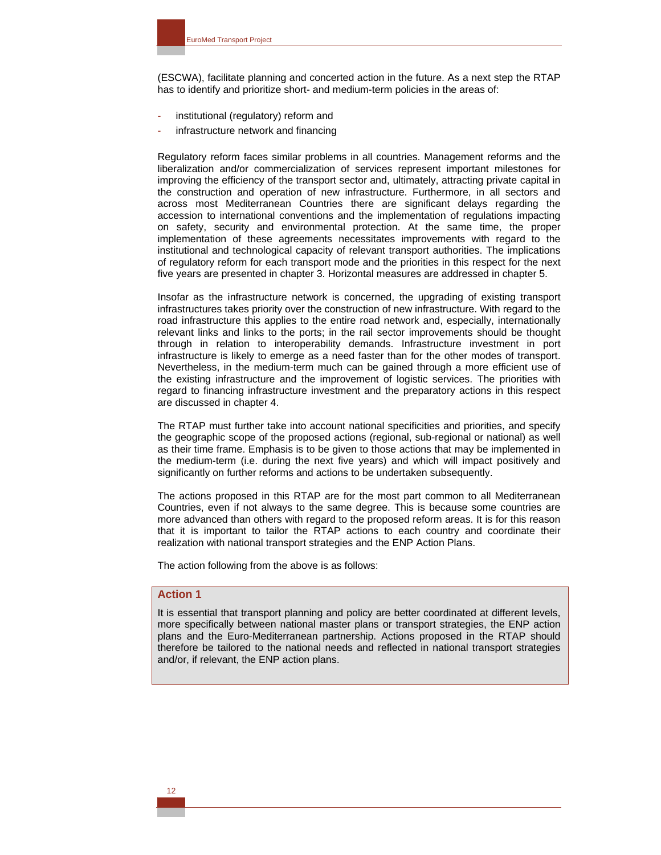(ESCWA), facilitate planning and concerted action in the future. As a next step the RTAP has to identify and prioritize short- and medium-term policies in the areas of:

- institutional (regulatory) reform and
- infrastructure network and financing

Regulatory reform faces similar problems in all countries. Management reforms and the liberalization and/or commercialization of services represent important milestones for improving the efficiency of the transport sector and, ultimately, attracting private capital in the construction and operation of new infrastructure. Furthermore, in all sectors and across most Mediterranean Countries there are significant delays regarding the accession to international conventions and the implementation of regulations impacting on safety, security and environmental protection. At the same time, the proper implementation of these agreements necessitates improvements with regard to the institutional and technological capacity of relevant transport authorities. The implications of regulatory reform for each transport mode and the priorities in this respect for the next five years are presented in chapter 3. Horizontal measures are addressed in chapter 5.

Insofar as the infrastructure network is concerned, the upgrading of existing transport infrastructures takes priority over the construction of new infrastructure. With regard to the road infrastructure this applies to the entire road network and, especially, internationally relevant links and links to the ports; in the rail sector improvements should be thought through in relation to interoperability demands. Infrastructure investment in port infrastructure is likely to emerge as a need faster than for the other modes of transport. Nevertheless, in the medium-term much can be gained through a more efficient use of the existing infrastructure and the improvement of logistic services. The priorities with regard to financing infrastructure investment and the preparatory actions in this respect are discussed in chapter 4.

The RTAP must further take into account national specificities and priorities, and specify the geographic scope of the proposed actions (regional, sub-regional or national) as well as their time frame. Emphasis is to be given to those actions that may be implemented in the medium-term (i.e. during the next five years) and which will impact positively and significantly on further reforms and actions to be undertaken subsequently.

The actions proposed in this RTAP are for the most part common to all Mediterranean Countries, even if not always to the same degree. This is because some countries are more advanced than others with regard to the proposed reform areas. It is for this reason that it is important to tailor the RTAP actions to each country and coordinate their realization with national transport strategies and the ENP Action Plans.

The action following from the above is as follows:

## **Action 1**

It is essential that transport planning and policy are better coordinated at different levels, more specifically between national master plans or transport strategies, the ENP action plans and the Euro-Mediterranean partnership. Actions proposed in the RTAP should therefore be tailored to the national needs and reflected in national transport strategies and/or, if relevant, the ENP action plans.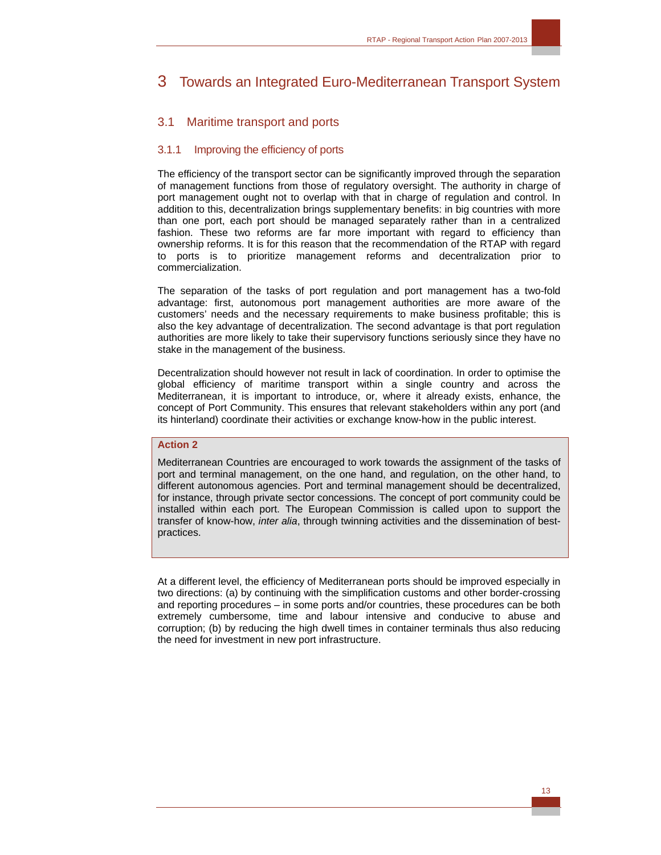## 3 Towards an Integrated Euro-Mediterranean Transport System

## 3.1 Maritime transport and ports

## 3.1.1 Improving the efficiency of ports

The efficiency of the transport sector can be significantly improved through the separation of management functions from those of regulatory oversight. The authority in charge of port management ought not to overlap with that in charge of regulation and control. In addition to this, decentralization brings supplementary benefits: in big countries with more than one port, each port should be managed separately rather than in a centralized fashion. These two reforms are far more important with regard to efficiency than ownership reforms. It is for this reason that the recommendation of the RTAP with regard to ports is to prioritize management reforms and decentralization prior to commercialization.

The separation of the tasks of port regulation and port management has a two-fold advantage: first, autonomous port management authorities are more aware of the customers' needs and the necessary requirements to make business profitable; this is also the key advantage of decentralization. The second advantage is that port regulation authorities are more likely to take their supervisory functions seriously since they have no stake in the management of the business.

Decentralization should however not result in lack of coordination. In order to optimise the global efficiency of maritime transport within a single country and across the Mediterranean, it is important to introduce, or, where it already exists, enhance, the concept of Port Community. This ensures that relevant stakeholders within any port (and its hinterland) coordinate their activities or exchange know-how in the public interest.

## **Action 2**

Mediterranean Countries are encouraged to work towards the assignment of the tasks of port and terminal management, on the one hand, and regulation, on the other hand, to different autonomous agencies. Port and terminal management should be decentralized, for instance, through private sector concessions. The concept of port community could be installed within each port. The European Commission is called upon to support the transfer of know-how, *inter alia*, through twinning activities and the dissemination of bestpractices.

At a different level, the efficiency of Mediterranean ports should be improved especially in two directions: (a) by continuing with the simplification customs and other border-crossing and reporting procedures – in some ports and/or countries, these procedures can be both extremely cumbersome, time and labour intensive and conducive to abuse and corruption; (b) by reducing the high dwell times in container terminals thus also reducing the need for investment in new port infrastructure.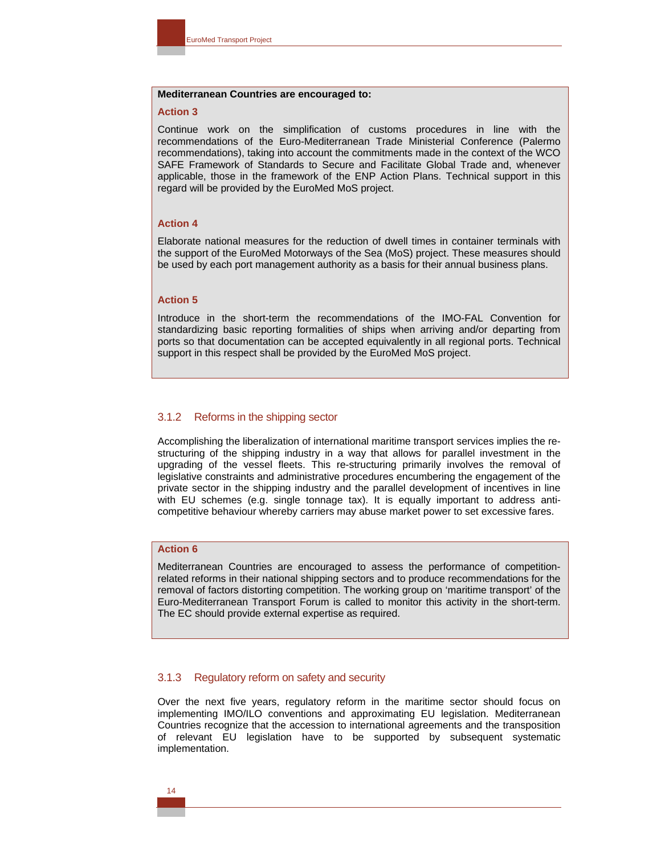#### **Mediterranean Countries are encouraged to:**

#### **Action 3**

Continue work on the simplification of customs procedures in line with the recommendations of the Euro-Mediterranean Trade Ministerial Conference (Palermo recommendations), taking into account the commitments made in the context of the WCO SAFE Framework of Standards to Secure and Facilitate Global Trade and, whenever applicable, those in the framework of the ENP Action Plans. Technical support in this regard will be provided by the EuroMed MoS project.

#### **Action 4**

Elaborate national measures for the reduction of dwell times in container terminals with the support of the EuroMed Motorways of the Sea (MoS) project. These measures should be used by each port management authority as a basis for their annual business plans.

## **Action 5**

Introduce in the short-term the recommendations of the IMO-FAL Convention for standardizing basic reporting formalities of ships when arriving and/or departing from ports so that documentation can be accepted equivalently in all regional ports. Technical support in this respect shall be provided by the EuroMed MoS project.

#### 3.1.2 Reforms in the shipping sector

Accomplishing the liberalization of international maritime transport services implies the restructuring of the shipping industry in a way that allows for parallel investment in the upgrading of the vessel fleets. This re-structuring primarily involves the removal of legislative constraints and administrative procedures encumbering the engagement of the private sector in the shipping industry and the parallel development of incentives in line with EU schemes (e.g. single tonnage tax). It is equally important to address anticompetitive behaviour whereby carriers may abuse market power to set excessive fares.

#### **Action 6**

Mediterranean Countries are encouraged to assess the performance of competitionrelated reforms in their national shipping sectors and to produce recommendations for the removal of factors distorting competition. The working group on 'maritime transport' of the Euro-Mediterranean Transport Forum is called to monitor this activity in the short-term. The EC should provide external expertise as required.

#### 3.1.3 Regulatory reform on safety and security

Over the next five years, regulatory reform in the maritime sector should focus on implementing IMO/ILO conventions and approximating EU legislation. Mediterranean Countries recognize that the accession to international agreements and the transposition of relevant EU legislation have to be supported by subsequent systematic implementation.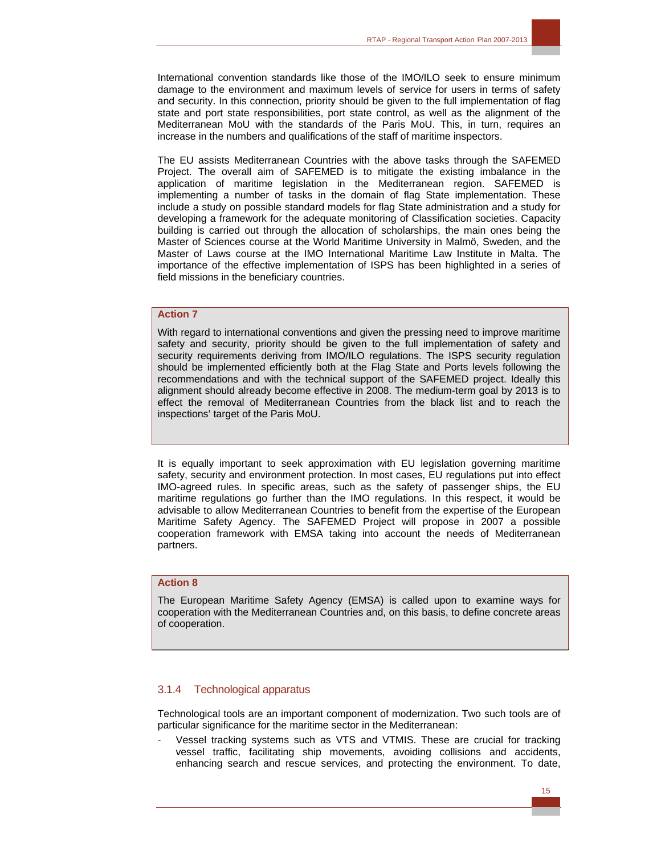International convention standards like those of the IMO/ILO seek to ensure minimum damage to the environment and maximum levels of service for users in terms of safety and security. In this connection, priority should be given to the full implementation of flag state and port state responsibilities, port state control, as well as the alignment of the Mediterranean MoU with the standards of the Paris MoU. This, in turn, requires an increase in the numbers and qualifications of the staff of maritime inspectors.

The EU assists Mediterranean Countries with the above tasks through the SAFEMED Project. The overall aim of SAFEMED is to mitigate the existing imbalance in the application of maritime legislation in the Mediterranean region. SAFEMED is implementing a number of tasks in the domain of flag State implementation. These include a study on possible standard models for flag State administration and a study for developing a framework for the adequate monitoring of Classification societies. Capacity building is carried out through the allocation of scholarships, the main ones being the Master of Sciences course at the World Maritime University in Malmö, Sweden, and the Master of Laws course at the IMO International Maritime Law Institute in Malta. The importance of the effective implementation of ISPS has been highlighted in a series of field missions in the beneficiary countries.

## **Action 7**

With regard to international conventions and given the pressing need to improve maritime safety and security, priority should be given to the full implementation of safety and security requirements deriving from IMO/ILO regulations. The ISPS security regulation should be implemented efficiently both at the Flag State and Ports levels following the recommendations and with the technical support of the SAFEMED project. Ideally this alignment should already become effective in 2008. The medium-term goal by 2013 is to effect the removal of Mediterranean Countries from the black list and to reach the inspections' target of the Paris MoU.

It is equally important to seek approximation with EU legislation governing maritime safety, security and environment protection. In most cases, EU regulations put into effect IMO-agreed rules. In specific areas, such as the safety of passenger ships, the EU maritime regulations go further than the IMO regulations. In this respect, it would be advisable to allow Mediterranean Countries to benefit from the expertise of the European Maritime Safety Agency. The SAFEMED Project will propose in 2007 a possible cooperation framework with EMSA taking into account the needs of Mediterranean partners.

## **Action 8**

The European Maritime Safety Agency (EMSA) is called upon to examine ways for cooperation with the Mediterranean Countries and, on this basis, to define concrete areas of cooperation.

#### 3.1.4 Technological apparatus

Technological tools are an important component of modernization. Two such tools are of particular significance for the maritime sector in the Mediterranean:

- Vessel tracking systems such as VTS and VTMIS. These are crucial for tracking vessel traffic, facilitating ship movements, avoiding collisions and accidents, enhancing search and rescue services, and protecting the environment. To date,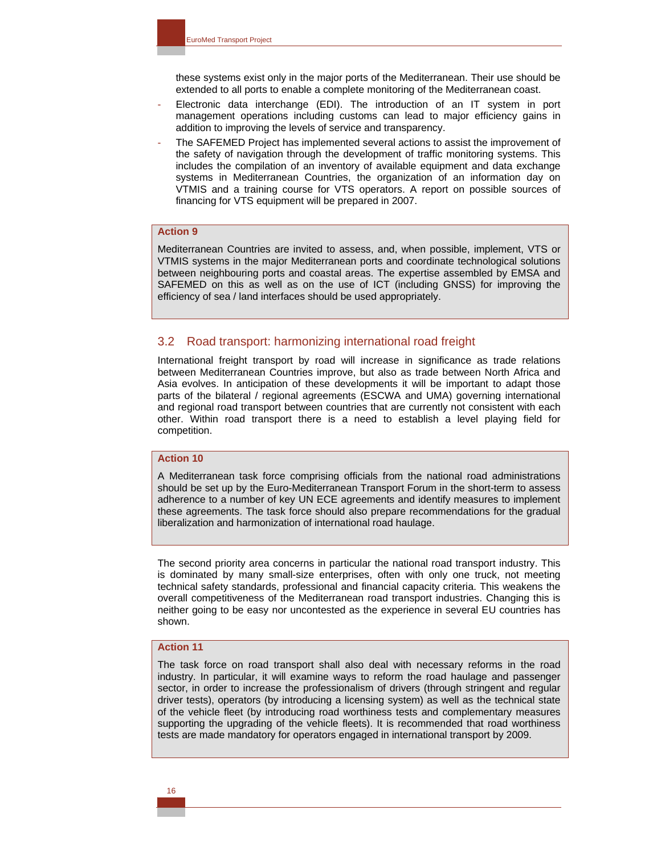these systems exist only in the major ports of the Mediterranean. Their use should be extended to all ports to enable a complete monitoring of the Mediterranean coast.

- Electronic data interchange (EDI). The introduction of an IT system in port management operations including customs can lead to major efficiency gains in addition to improving the levels of service and transparency.
- The SAFEMED Project has implemented several actions to assist the improvement of the safety of navigation through the development of traffic monitoring systems. This includes the compilation of an inventory of available equipment and data exchange systems in Mediterranean Countries, the organization of an information day on VTMIS and a training course for VTS operators. A report on possible sources of financing for VTS equipment will be prepared in 2007.

## **Action 9**

Mediterranean Countries are invited to assess, and, when possible, implement, VTS or VTMIS systems in the major Mediterranean ports and coordinate technological solutions between neighbouring ports and coastal areas. The expertise assembled by EMSA and SAFEMED on this as well as on the use of ICT (including GNSS) for improving the efficiency of sea / land interfaces should be used appropriately.

#### 3.2 Road transport: harmonizing international road freight

International freight transport by road will increase in significance as trade relations between Mediterranean Countries improve, but also as trade between North Africa and Asia evolves. In anticipation of these developments it will be important to adapt those parts of the bilateral / regional agreements (ESCWA and UMA) governing international and regional road transport between countries that are currently not consistent with each other. Within road transport there is a need to establish a level playing field for competition.

#### **Action 10**

A Mediterranean task force comprising officials from the national road administrations should be set up by the Euro-Mediterranean Transport Forum in the short-term to assess adherence to a number of key UN ECE agreements and identify measures to implement these agreements. The task force should also prepare recommendations for the gradual liberalization and harmonization of international road haulage.

The second priority area concerns in particular the national road transport industry. This is dominated by many small-size enterprises, often with only one truck, not meeting technical safety standards, professional and financial capacity criteria. This weakens the overall competitiveness of the Mediterranean road transport industries. Changing this is neither going to be easy nor uncontested as the experience in several EU countries has shown.

## **Action 11**

The task force on road transport shall also deal with necessary reforms in the road industry. In particular, it will examine ways to reform the road haulage and passenger sector, in order to increase the professionalism of drivers (through stringent and regular driver tests), operators (by introducing a licensing system) as well as the technical state of the vehicle fleet (by introducing road worthiness tests and complementary measures supporting the upgrading of the vehicle fleets). It is recommended that road worthiness tests are made mandatory for operators engaged in international transport by 2009.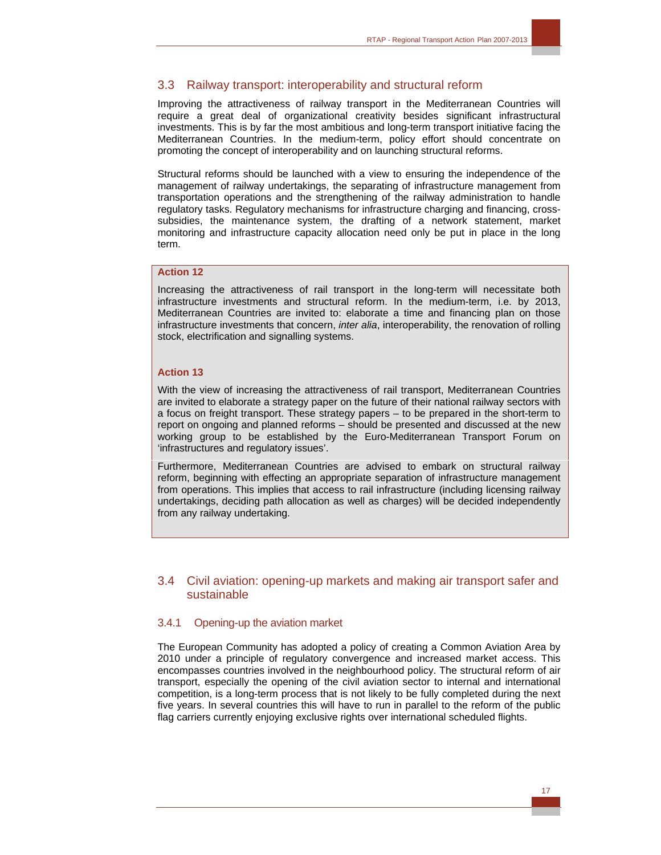## 3.3 Railway transport: interoperability and structural reform

Improving the attractiveness of railway transport in the Mediterranean Countries will require a great deal of organizational creativity besides significant infrastructural investments. This is by far the most ambitious and long-term transport initiative facing the Mediterranean Countries. In the medium-term, policy effort should concentrate on promoting the concept of interoperability and on launching structural reforms.

Structural reforms should be launched with a view to ensuring the independence of the management of railway undertakings, the separating of infrastructure management from transportation operations and the strengthening of the railway administration to handle regulatory tasks. Regulatory mechanisms for infrastructure charging and financing, crosssubsidies, the maintenance system, the drafting of a network statement, market monitoring and infrastructure capacity allocation need only be put in place in the long term.

## **Action 12**

Increasing the attractiveness of rail transport in the long-term will necessitate both infrastructure investments and structural reform. In the medium-term, i.e. by 2013, Mediterranean Countries are invited to: elaborate a time and financing plan on those infrastructure investments that concern, *inter alia*, interoperability, the renovation of rolling stock, electrification and signalling systems.

## **Action 13**

With the view of increasing the attractiveness of rail transport, Mediterranean Countries are invited to elaborate a strategy paper on the future of their national railway sectors with a focus on freight transport. These strategy papers – to be prepared in the short-term to report on ongoing and planned reforms – should be presented and discussed at the new working group to be established by the Euro-Mediterranean Transport Forum on 'infrastructures and regulatory issues'.

Furthermore, Mediterranean Countries are advised to embark on structural railway reform, beginning with effecting an appropriate separation of infrastructure management from operations. This implies that access to rail infrastructure (including licensing railway undertakings, deciding path allocation as well as charges) will be decided independently from any railway undertaking.

## 3.4 Civil aviation: opening-up markets and making air transport safer and sustainable

## 3.4.1 Opening-up the aviation market

The European Community has adopted a policy of creating a Common Aviation Area by 2010 under a principle of regulatory convergence and increased market access. This encompasses countries involved in the neighbourhood policy. The structural reform of air transport, especially the opening of the civil aviation sector to internal and international competition, is a long-term process that is not likely to be fully completed during the next five years. In several countries this will have to run in parallel to the reform of the public flag carriers currently enjoying exclusive rights over international scheduled flights.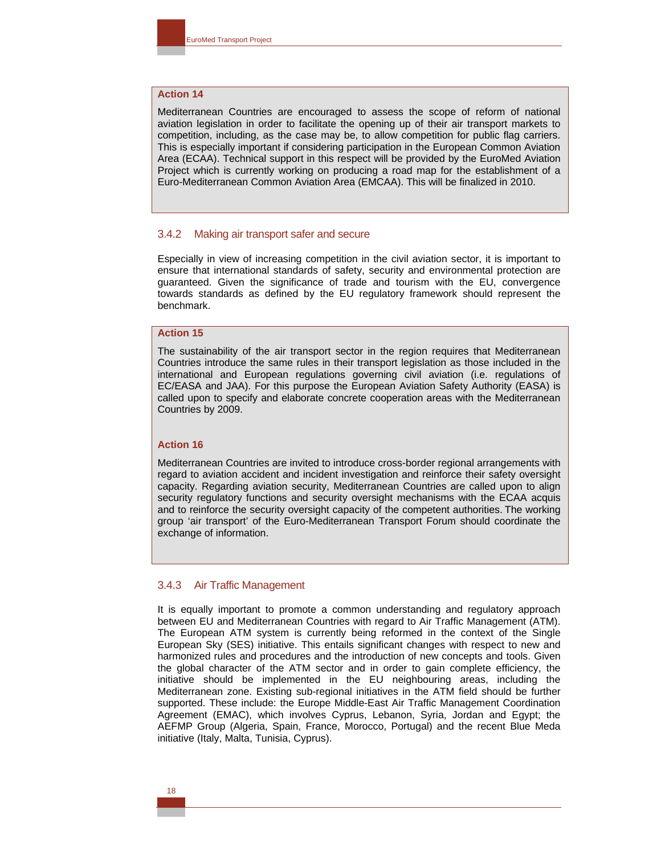## **Action 14**

Mediterranean Countries are encouraged to assess the scope of reform of national aviation legislation in order to facilitate the opening up of their air transport markets to competition, including, as the case may be, to allow competition for public flag carriers. This is especially important if considering participation in the European Common Aviation Area (ECAA). Technical support in this respect will be provided by the EuroMed Aviation Project which is currently working on producing a road map for the establishment of a Euro-Mediterranean Common Aviation Area (EMCAA). This will be finalized in 2010.

#### 3.4.2 Making air transport safer and secure

Especially in view of increasing competition in the civil aviation sector, it is important to ensure that international standards of safety, security and environmental protection are guaranteed. Given the significance of trade and tourism with the EU, convergence towards standards as defined by the EU regulatory framework should represent the benchmark.

#### **Action 15**

The sustainability of the air transport sector in the region requires that Mediterranean Countries introduce the same rules in their transport legislation as those included in the international and European regulations governing civil aviation (i.e. regulations of EC/EASA and JAA). For this purpose the European Aviation Safety Authority (EASA) is called upon to specify and elaborate concrete cooperation areas with the Mediterranean Countries by 2009.

#### **Action 16**

Mediterranean Countries are invited to introduce cross-border regional arrangements with regard to aviation accident and incident investigation and reinforce their safety oversight capacity. Regarding aviation security, Mediterranean Countries are called upon to align security regulatory functions and security oversight mechanisms with the ECAA acquis and to reinforce the security oversight capacity of the competent authorities. The working group 'air transport' of the Euro-Mediterranean Transport Forum should coordinate the exchange of information.

#### 3.4.3 Air Traffic Management

It is equally important to promote a common understanding and regulatory approach between EU and Mediterranean Countries with regard to Air Traffic Management (ATM). The European ATM system is currently being reformed in the context of the Single European Sky (SES) initiative. This entails significant changes with respect to new and harmonized rules and procedures and the introduction of new concepts and tools. Given the global character of the ATM sector and in order to gain complete efficiency, the initiative should be implemented in the EU neighbouring areas, including the Mediterranean zone. Existing sub-regional initiatives in the ATM field should be further supported. These include: the Europe Middle-East Air Traffic Management Coordination Agreement (EMAC), which involves Cyprus, Lebanon, Syria, Jordan and Egypt; the AEFMP Group (Algeria, Spain, France, Morocco, Portugal) and the recent Blue Meda initiative (Italy, Malta, Tunisia, Cyprus).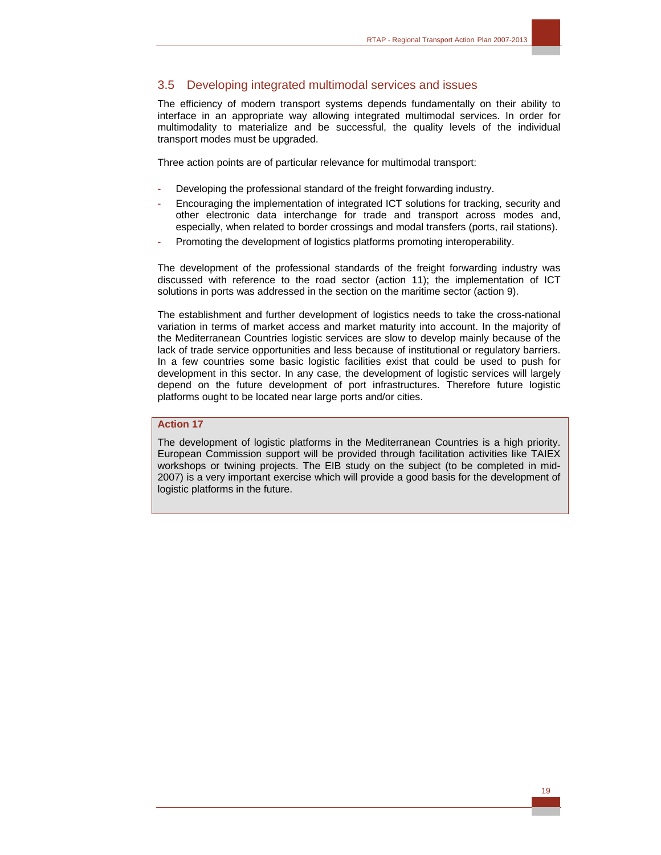## 3.5 Developing integrated multimodal services and issues

The efficiency of modern transport systems depends fundamentally on their ability to interface in an appropriate way allowing integrated multimodal services. In order for multimodality to materialize and be successful, the quality levels of the individual transport modes must be upgraded.

Three action points are of particular relevance for multimodal transport:

- Developing the professional standard of the freight forwarding industry.
- Encouraging the implementation of integrated ICT solutions for tracking, security and other electronic data interchange for trade and transport across modes and, especially, when related to border crossings and modal transfers (ports, rail stations).
- Promoting the development of logistics platforms promoting interoperability.

The development of the professional standards of the freight forwarding industry was discussed with reference to the road sector (action 11); the implementation of ICT solutions in ports was addressed in the section on the maritime sector (action 9).

The establishment and further development of logistics needs to take the cross-national variation in terms of market access and market maturity into account. In the majority of the Mediterranean Countries logistic services are slow to develop mainly because of the lack of trade service opportunities and less because of institutional or regulatory barriers. In a few countries some basic logistic facilities exist that could be used to push for development in this sector. In any case, the development of logistic services will largely depend on the future development of port infrastructures. Therefore future logistic platforms ought to be located near large ports and/or cities.

## **Action 17**

The development of logistic platforms in the Mediterranean Countries is a high priority. European Commission support will be provided through facilitation activities like TAIEX workshops or twining projects. The EIB study on the subject (to be completed in mid-2007) is a very important exercise which will provide a good basis for the development of logistic platforms in the future.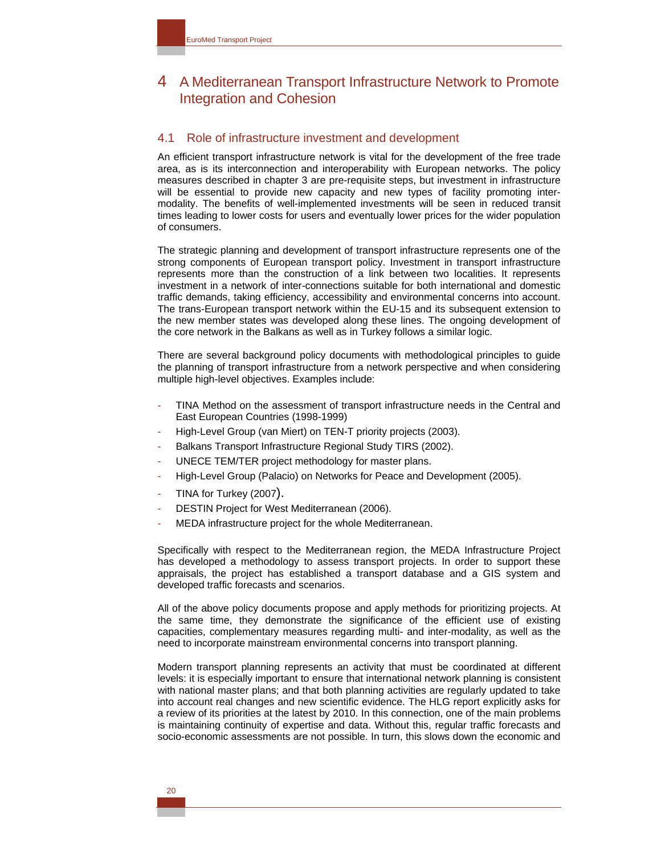## 4 A Mediterranean Transport Infrastructure Network to Promote Integration and Cohesion

## 4.1 Role of infrastructure investment and development

An efficient transport infrastructure network is vital for the development of the free trade area, as is its interconnection and interoperability with European networks. The policy measures described in chapter 3 are pre-requisite steps, but investment in infrastructure will be essential to provide new capacity and new types of facility promoting intermodality. The benefits of well-implemented investments will be seen in reduced transit times leading to lower costs for users and eventually lower prices for the wider population of consumers.

The strategic planning and development of transport infrastructure represents one of the strong components of European transport policy. Investment in transport infrastructure represents more than the construction of a link between two localities. It represents investment in a network of inter-connections suitable for both international and domestic traffic demands, taking efficiency, accessibility and environmental concerns into account. The trans-European transport network within the EU-15 and its subsequent extension to the new member states was developed along these lines. The ongoing development of the core network in the Balkans as well as in Turkey follows a similar logic.

There are several background policy documents with methodological principles to guide the planning of transport infrastructure from a network perspective and when considering multiple high-level objectives. Examples include:

- TINA Method on the assessment of transport infrastructure needs in the Central and East European Countries (1998-1999)
- High-Level Group (van Miert) on TEN-T priority projects (2003).
- Balkans Transport Infrastructure Regional Study TIRS (2002).
- UNECE TEM/TER project methodology for master plans.
- High-Level Group (Palacio) on Networks for Peace and Development (2005).
- TINA for Turkey (2007).
- DESTIN Project for West Mediterranean (2006).
- MEDA infrastructure project for the whole Mediterranean.

Specifically with respect to the Mediterranean region, the MEDA Infrastructure Project has developed a methodology to assess transport projects. In order to support these appraisals, the project has established a transport database and a GIS system and developed traffic forecasts and scenarios.

All of the above policy documents propose and apply methods for prioritizing projects. At the same time, they demonstrate the significance of the efficient use of existing capacities, complementary measures regarding multi- and inter-modality, as well as the need to incorporate mainstream environmental concerns into transport planning.

Modern transport planning represents an activity that must be coordinated at different levels: it is especially important to ensure that international network planning is consistent with national master plans; and that both planning activities are regularly updated to take into account real changes and new scientific evidence. The HLG report explicitly asks for a review of its priorities at the latest by 2010. In this connection, one of the main problems is maintaining continuity of expertise and data. Without this, regular traffic forecasts and socio-economic assessments are not possible. In turn, this slows down the economic and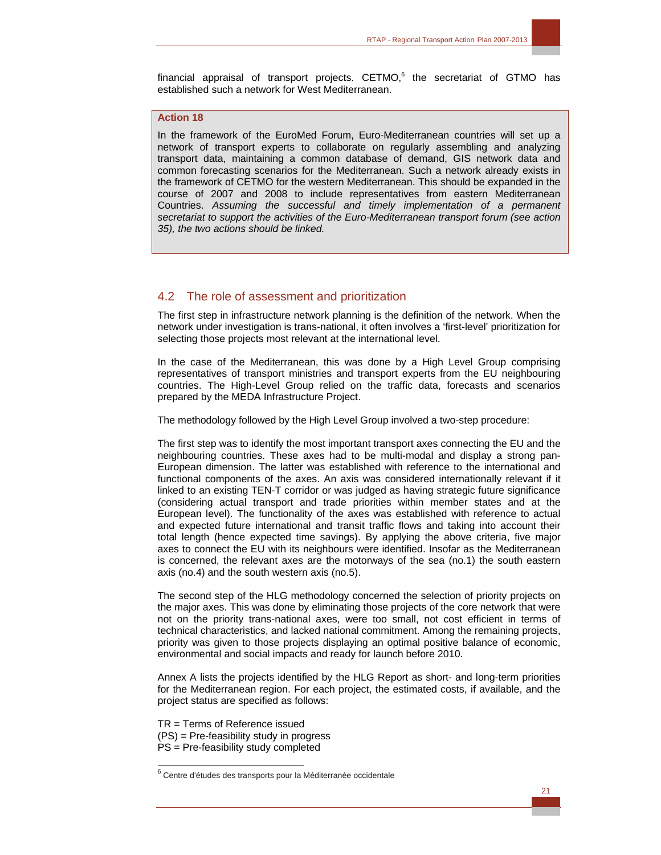

## **Action 18**

In the framework of the EuroMed Forum, Euro-Mediterranean countries will set up a network of transport experts to collaborate on regularly assembling and analyzing transport data, maintaining a common database of demand, GIS network data and common forecasting scenarios for the Mediterranean. Such a network already exists in the framework of CETMO for the western Mediterranean. This should be expanded in the course of 2007 and 2008 to include representatives from eastern Mediterranean Countries. *Assuming the successful and timely implementation of a permanent secretariat to support the activities of the Euro-Mediterranean transport forum (see action 35), the two actions should be linked.* 

## 4.2 The role of assessment and prioritization

The first step in infrastructure network planning is the definition of the network. When the network under investigation is trans-national, it often involves a 'first-level' prioritization for selecting those projects most relevant at the international level.

In the case of the Mediterranean, this was done by a High Level Group comprising representatives of transport ministries and transport experts from the EU neighbouring countries. The High-Level Group relied on the traffic data, forecasts and scenarios prepared by the MEDA Infrastructure Project.

The methodology followed by the High Level Group involved a two-step procedure:

The first step was to identify the most important transport axes connecting the EU and the neighbouring countries. These axes had to be multi-modal and display a strong pan-European dimension. The latter was established with reference to the international and functional components of the axes. An axis was considered internationally relevant if it linked to an existing TEN-T corridor or was judged as having strategic future significance (considering actual transport and trade priorities within member states and at the European level). The functionality of the axes was established with reference to actual and expected future international and transit traffic flows and taking into account their total length (hence expected time savings). By applying the above criteria, five major axes to connect the EU with its neighbours were identified. Insofar as the Mediterranean is concerned, the relevant axes are the motorways of the sea (no.1) the south eastern axis (no.4) and the south western axis (no.5).

The second step of the HLG methodology concerned the selection of priority projects on the major axes. This was done by eliminating those projects of the core network that were not on the priority trans-national axes, were too small, not cost efficient in terms of technical characteristics, and lacked national commitment. Among the remaining projects, priority was given to those projects displaying an optimal positive balance of economic, environmental and social impacts and ready for launch before 2010.

Annex A lists the projects identified by the HLG Report as short- and long-term priorities for the Mediterranean region. For each project, the estimated costs, if available, and the project status are specified as follows:

TR = Terms of Reference issued (PS) = Pre-feasibility study in progress PS = Pre-feasibility study completed

 $\overline{a}$ 

 $^6$  Centre d'études des transports pour la Méditerranée occidentale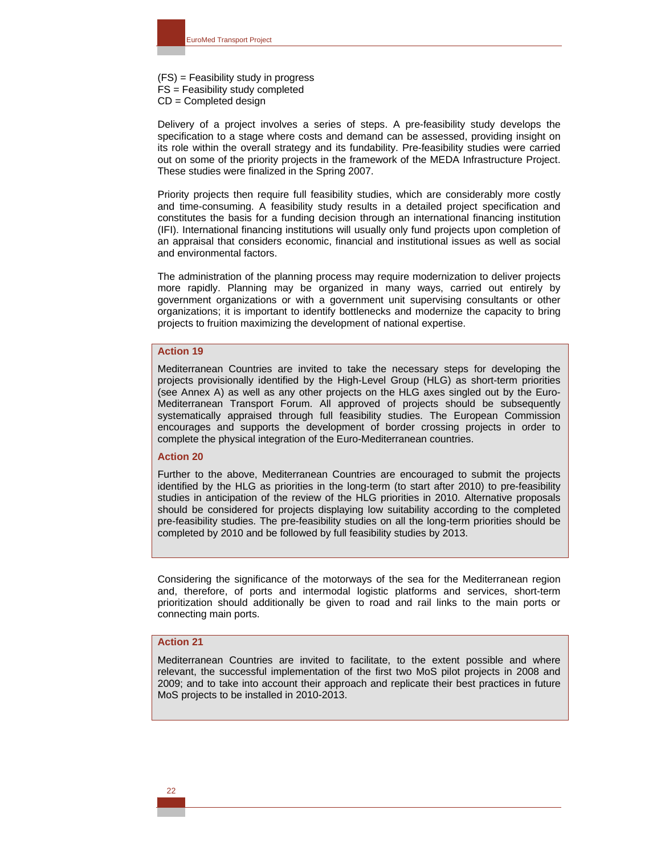(FS) = Feasibility study in progress FS = Feasibility study completed CD = Completed design

Delivery of a project involves a series of steps. A pre-feasibility study develops the specification to a stage where costs and demand can be assessed, providing insight on its role within the overall strategy and its fundability. Pre-feasibility studies were carried out on some of the priority projects in the framework of the MEDA Infrastructure Project. These studies were finalized in the Spring 2007.

Priority projects then require full feasibility studies, which are considerably more costly and time-consuming. A feasibility study results in a detailed project specification and constitutes the basis for a funding decision through an international financing institution (IFI). International financing institutions will usually only fund projects upon completion of an appraisal that considers economic, financial and institutional issues as well as social and environmental factors.

The administration of the planning process may require modernization to deliver projects more rapidly. Planning may be organized in many ways, carried out entirely by government organizations or with a government unit supervising consultants or other organizations; it is important to identify bottlenecks and modernize the capacity to bring projects to fruition maximizing the development of national expertise.

## **Action 19**

Mediterranean Countries are invited to take the necessary steps for developing the projects provisionally identified by the High-Level Group (HLG) as short-term priorities (see Annex A) as well as any other projects on the HLG axes singled out by the Euro-Mediterranean Transport Forum. All approved of projects should be subsequently systematically appraised through full feasibility studies. The European Commission encourages and supports the development of border crossing projects in order to complete the physical integration of the Euro-Mediterranean countries.

#### **Action 20**

Further to the above, Mediterranean Countries are encouraged to submit the projects identified by the HLG as priorities in the long-term (to start after 2010) to pre-feasibility studies in anticipation of the review of the HLG priorities in 2010. Alternative proposals should be considered for projects displaying low suitability according to the completed pre-feasibility studies. The pre-feasibility studies on all the long-term priorities should be completed by 2010 and be followed by full feasibility studies by 2013.

Considering the significance of the motorways of the sea for the Mediterranean region and, therefore, of ports and intermodal logistic platforms and services, short-term prioritization should additionally be given to road and rail links to the main ports or connecting main ports.

## **Action 21**

Mediterranean Countries are invited to facilitate, to the extent possible and where relevant, the successful implementation of the first two MoS pilot projects in 2008 and 2009; and to take into account their approach and replicate their best practices in future MoS projects to be installed in 2010-2013.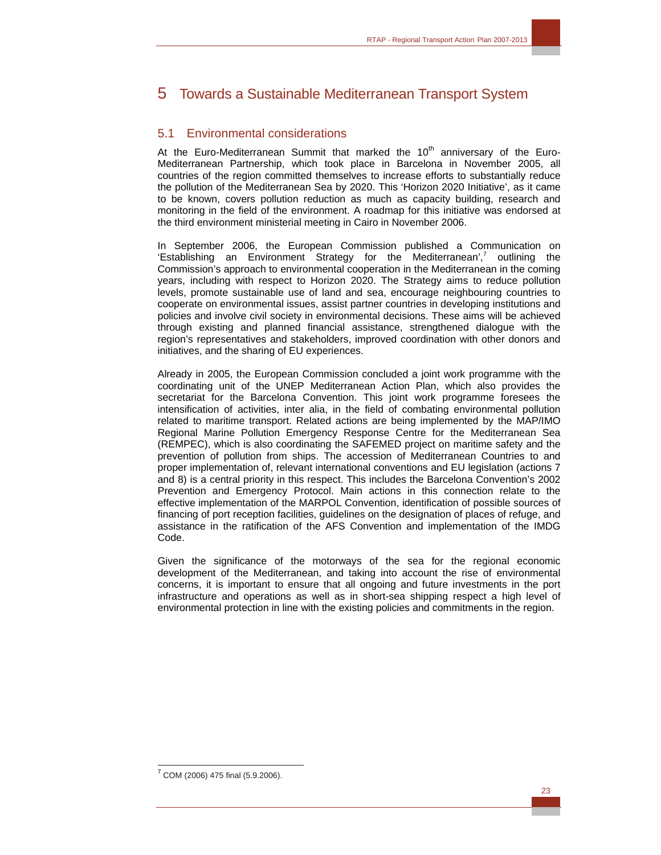# 5 Towards a Sustainable Mediterranean Transport System

## 5.1 Environmental considerations

At the Euro-Mediterranean Summit that marked the  $10<sup>th</sup>$  anniversary of the Euro-Mediterranean Partnership, which took place in Barcelona in November 2005, all countries of the region committed themselves to increase efforts to substantially reduce the pollution of the Mediterranean Sea by 2020. This 'Horizon 2020 Initiative', as it came to be known, covers pollution reduction as much as capacity building, research and monitoring in the field of the environment. A roadmap for this initiative was endorsed at the third environment ministerial meeting in Cairo in November 2006.

In September 2006, the European Commission published a Communication on 'Establishing an Environment Strategy for the Mediterranean',<sup>7</sup> outlining the Commission's approach to environmental cooperation in the Mediterranean in the coming years, including with respect to Horizon 2020. The Strategy aims to reduce pollution levels, promote sustainable use of land and sea, encourage neighbouring countries to cooperate on environmental issues, assist partner countries in developing institutions and policies and involve civil society in environmental decisions. These aims will be achieved through existing and planned financial assistance, strengthened dialogue with the region's representatives and stakeholders, improved coordination with other donors and initiatives, and the sharing of EU experiences.

Already in 2005, the European Commission concluded a joint work programme with the coordinating unit of the UNEP Mediterranean Action Plan, which also provides the secretariat for the Barcelona Convention. This joint work programme foresees the intensification of activities, inter alia, in the field of combating environmental pollution related to maritime transport. Related actions are being implemented by the MAP/IMO Regional Marine Pollution Emergency Response Centre for the Mediterranean Sea (REMPEC), which is also coordinating the SAFEMED project on maritime safety and the prevention of pollution from ships. The accession of Mediterranean Countries to and proper implementation of, relevant international conventions and EU legislation (actions 7 and 8) is a central priority in this respect. This includes the Barcelona Convention's 2002 Prevention and Emergency Protocol. Main actions in this connection relate to the effective implementation of the MARPOL Convention, identification of possible sources of financing of port reception facilities, guidelines on the designation of places of refuge, and assistance in the ratification of the AFS Convention and implementation of the IMDG Code.

Given the significance of the motorways of the sea for the regional economic development of the Mediterranean, and taking into account the rise of environmental concerns, it is important to ensure that all ongoing and future investments in the port infrastructure and operations as well as in short-sea shipping respect a high level of environmental protection in line with the existing policies and commitments in the region.

 $\overline{a}$  $7$  COM (2006) 475 final (5.9.2006).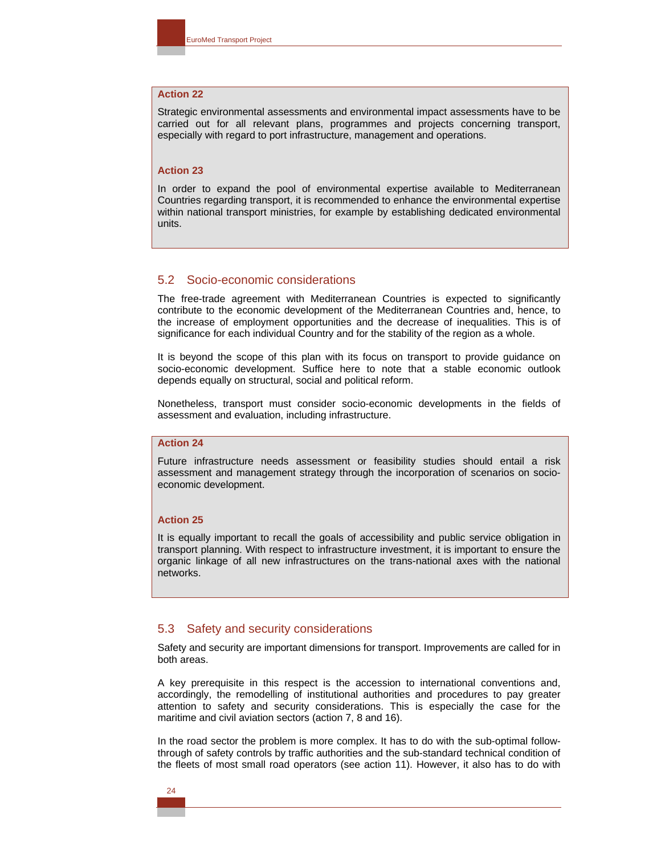## **Action 22**

Strategic environmental assessments and environmental impact assessments have to be carried out for all relevant plans, programmes and projects concerning transport, especially with regard to port infrastructure, management and operations.

## **Action 23**

In order to expand the pool of environmental expertise available to Mediterranean Countries regarding transport, it is recommended to enhance the environmental expertise within national transport ministries, for example by establishing dedicated environmental units.

## 5.2 Socio-economic considerations

The free-trade agreement with Mediterranean Countries is expected to significantly contribute to the economic development of the Mediterranean Countries and, hence, to the increase of employment opportunities and the decrease of inequalities. This is of significance for each individual Country and for the stability of the region as a whole.

It is beyond the scope of this plan with its focus on transport to provide guidance on socio-economic development. Suffice here to note that a stable economic outlook depends equally on structural, social and political reform.

Nonetheless, transport must consider socio-economic developments in the fields of assessment and evaluation, including infrastructure.

## **Action 24**

Future infrastructure needs assessment or feasibility studies should entail a risk assessment and management strategy through the incorporation of scenarios on socioeconomic development.

#### **Action 25**

It is equally important to recall the goals of accessibility and public service obligation in transport planning. With respect to infrastructure investment, it is important to ensure the organic linkage of all new infrastructures on the trans-national axes with the national networks.

## 5.3 Safety and security considerations

Safety and security are important dimensions for transport. Improvements are called for in both areas.

A key prerequisite in this respect is the accession to international conventions and, accordingly, the remodelling of institutional authorities and procedures to pay greater attention to safety and security considerations. This is especially the case for the maritime and civil aviation sectors (action 7, 8 and 16).

In the road sector the problem is more complex. It has to do with the sub-optimal followthrough of safety controls by traffic authorities and the sub-standard technical condition of the fleets of most small road operators (see action 11). However, it also has to do with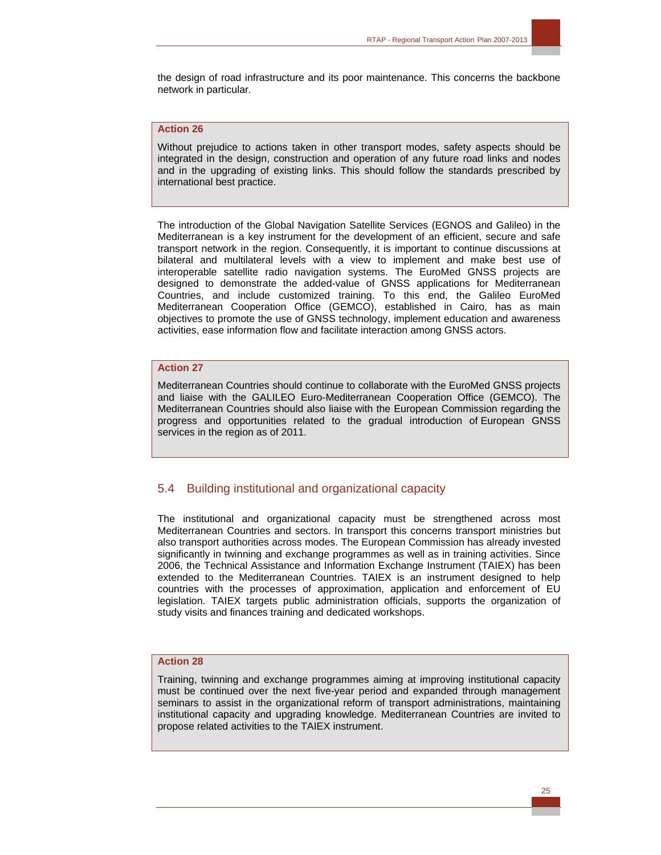

#### **Action 26**

Without prejudice to actions taken in other transport modes, safety aspects should be integrated in the design, construction and operation of any future road links and nodes and in the upgrading of existing links. This should follow the standards prescribed by international best practice.

The introduction of the Global Navigation Satellite Services (EGNOS and Galileo) in the Mediterranean is a key instrument for the development of an efficient, secure and safe transport network in the region. Consequently, it is important to continue discussions at bilateral and multilateral levels with a view to implement and make best use of interoperable satellite radio navigation systems. The EuroMed GNSS projects are designed to demonstrate the added-value of GNSS applications for Mediterranean Countries, and include customized training. To this end, the Galileo EuroMed Mediterranean Cooperation Office (GEMCO), established in Cairo, has as main objectives to promote the use of GNSS technology, implement education and awareness activities, ease information flow and facilitate interaction among GNSS actors.

## **Action 27**

Mediterranean Countries should continue to collaborate with the EuroMed GNSS projects and liaise with the GALILEO Euro-Mediterranean Cooperation Office (GEMCO). The Mediterranean Countries should also liaise with the European Commission regarding the progress and opportunities related to the gradual introduction of European GNSS services in the region as of 2011.

## 5.4 Building institutional and organizational capacity

The institutional and organizational capacity must be strengthened across most Mediterranean Countries and sectors. In transport this concerns transport ministries but also transport authorities across modes. The European Commission has already invested significantly in twinning and exchange programmes as well as in training activities. Since 2006, the Technical Assistance and Information Exchange Instrument (TAIEX) has been extended to the Mediterranean Countries. TAIEX is an instrument designed to help countries with the processes of approximation, application and enforcement of EU legislation. TAIEX targets public administration officials, supports the organization of study visits and finances training and dedicated workshops.

## **Action 28**

Training, twinning and exchange programmes aiming at improving institutional capacity must be continued over the next five-year period and expanded through management seminars to assist in the organizational reform of transport administrations, maintaining institutional capacity and upgrading knowledge. Mediterranean Countries are invited to propose related activities to the TAIEX instrument.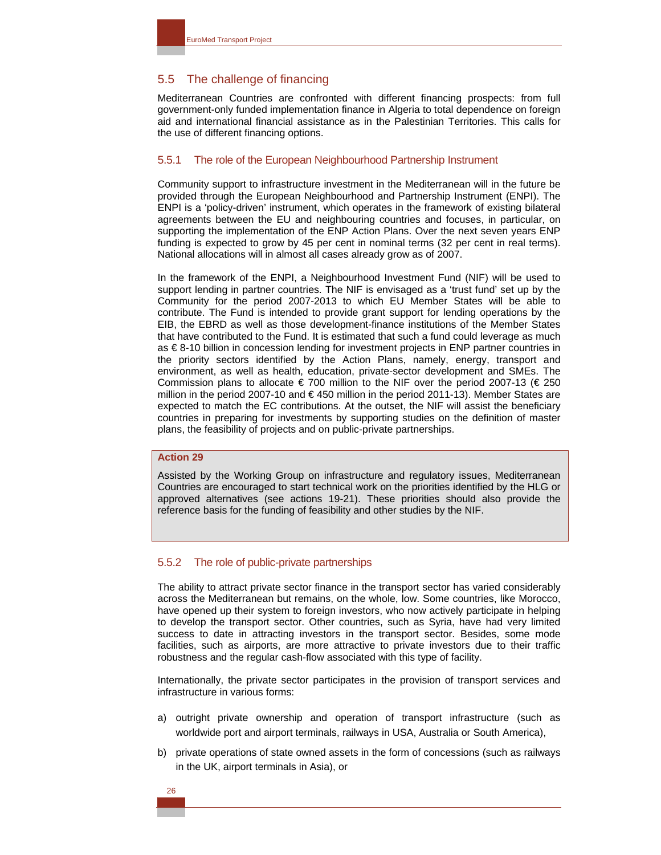## 5.5 The challenge of financing

Mediterranean Countries are confronted with different financing prospects: from full government-only funded implementation finance in Algeria to total dependence on foreign aid and international financial assistance as in the Palestinian Territories. This calls for the use of different financing options.

## 5.5.1 The role of the European Neighbourhood Partnership Instrument

Community support to infrastructure investment in the Mediterranean will in the future be provided through the European Neighbourhood and Partnership Instrument (ENPI). The ENPI is a 'policy-driven' instrument, which operates in the framework of existing bilateral agreements between the EU and neighbouring countries and focuses, in particular, on supporting the implementation of the ENP Action Plans. Over the next seven years ENP funding is expected to grow by 45 per cent in nominal terms (32 per cent in real terms). National allocations will in almost all cases already grow as of 2007.

In the framework of the ENPI, a Neighbourhood Investment Fund (NIF) will be used to support lending in partner countries. The NIF is envisaged as a 'trust fund' set up by the Community for the period 2007-2013 to which EU Member States will be able to contribute. The Fund is intended to provide grant support for lending operations by the EIB, the EBRD as well as those development-finance institutions of the Member States that have contributed to the Fund. It is estimated that such a fund could leverage as much as € 8-10 billion in concession lending for investment projects in ENP partner countries in the priority sectors identified by the Action Plans, namely, energy, transport and environment, as well as health, education, private-sector development and SMEs. The Commission plans to allocate  $\epsilon$  700 million to the NIF over the period 2007-13 ( $\epsilon$  250 million in the period 2007-10 and  $\epsilon$ 450 million in the period 2011-13). Member States are expected to match the EC contributions. At the outset, the NIF will assist the beneficiary countries in preparing for investments by supporting studies on the definition of master plans, the feasibility of projects and on public-private partnerships.

## **Action 29**

Assisted by the Working Group on infrastructure and regulatory issues, Mediterranean Countries are encouraged to start technical work on the priorities identified by the HLG or approved alternatives (see actions 19-21). These priorities should also provide the reference basis for the funding of feasibility and other studies by the NIF.

#### 5.5.2 The role of public-private partnerships

The ability to attract private sector finance in the transport sector has varied considerably across the Mediterranean but remains, on the whole, low. Some countries, like Morocco, have opened up their system to foreign investors, who now actively participate in helping to develop the transport sector. Other countries, such as Syria, have had very limited success to date in attracting investors in the transport sector. Besides, some mode facilities, such as airports, are more attractive to private investors due to their traffic robustness and the regular cash-flow associated with this type of facility.

Internationally, the private sector participates in the provision of transport services and infrastructure in various forms:

- a) outright private ownership and operation of transport infrastructure (such as worldwide port and airport terminals, railways in USA, Australia or South America),
- b) private operations of state owned assets in the form of concessions (such as railways in the UK, airport terminals in Asia), or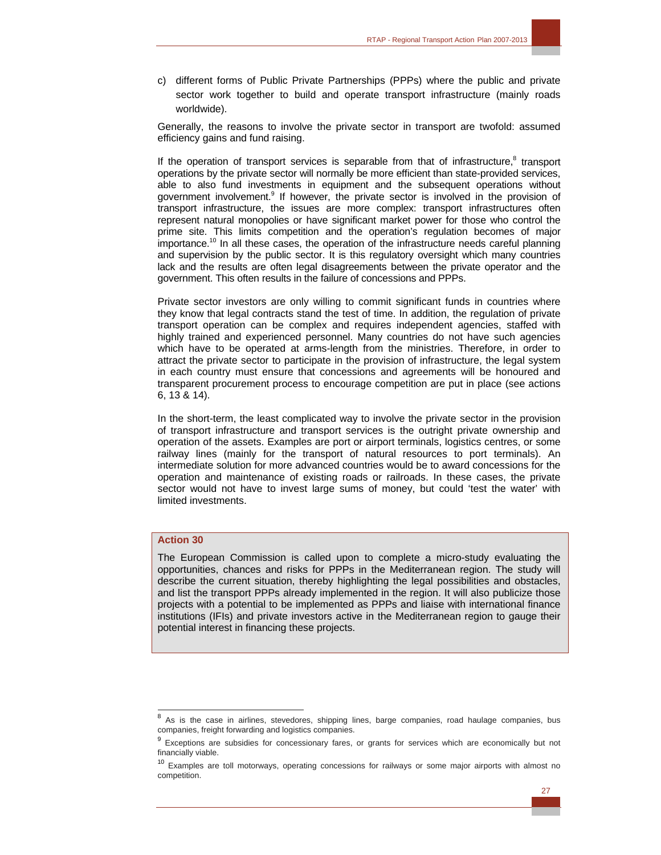c) different forms of Public Private Partnerships (PPPs) where the public and private sector work together to build and operate transport infrastructure (mainly roads worldwide).

Generally, the reasons to involve the private sector in transport are twofold: assumed efficiency gains and fund raising.

If the operation of transport services is separable from that of infrastructure,<sup>8</sup> transport operations by the private sector will normally be more efficient than state-provided services, able to also fund investments in equipment and the subsequent operations without government involvement.<sup>9</sup> If however, the private sector is involved in the provision of transport infrastructure, the issues are more complex: transport infrastructures often represent natural monopolies or have significant market power for those who control the prime site. This limits competition and the operation's regulation becomes of major importance.<sup>10</sup> In all these cases, the operation of the infrastructure needs careful planning and supervision by the public sector. It is this regulatory oversight which many countries lack and the results are often legal disagreements between the private operator and the government. This often results in the failure of concessions and PPPs.

Private sector investors are only willing to commit significant funds in countries where they know that legal contracts stand the test of time. In addition, the regulation of private transport operation can be complex and requires independent agencies, staffed with highly trained and experienced personnel. Many countries do not have such agencies which have to be operated at arms-length from the ministries. Therefore, in order to attract the private sector to participate in the provision of infrastructure, the legal system in each country must ensure that concessions and agreements will be honoured and transparent procurement process to encourage competition are put in place (see actions 6, 13 & 14).

In the short-term, the least complicated way to involve the private sector in the provision of transport infrastructure and transport services is the outright private ownership and operation of the assets. Examples are port or airport terminals, logistics centres, or some railway lines (mainly for the transport of natural resources to port terminals). An intermediate solution for more advanced countries would be to award concessions for the operation and maintenance of existing roads or railroads. In these cases, the private sector would not have to invest large sums of money, but could 'test the water' with limited investments.

## **Action 30**

The European Commission is called upon to complete a micro-study evaluating the opportunities, chances and risks for PPPs in the Mediterranean region. The study will describe the current situation, thereby highlighting the legal possibilities and obstacles, and list the transport PPPs already implemented in the region. It will also publicize those projects with a potential to be implemented as PPPs and liaise with international finance institutions (IFIs) and private investors active in the Mediterranean region to gauge their potential interest in financing these projects.

<sup>&</sup>lt;sup>8</sup> As is the case in airlines, stevedores, shipping lines, barge companies, road haulage companies, bus companies, freight forwarding and logistics companies.

<sup>&</sup>lt;sup>9</sup> Exceptions are subsidies for concessionary fares, or grants for services which are economically but not financially viable.

<sup>&</sup>lt;sup>10</sup> Examples are toll motorways, operating concessions for railways or some major airports with almost no competition.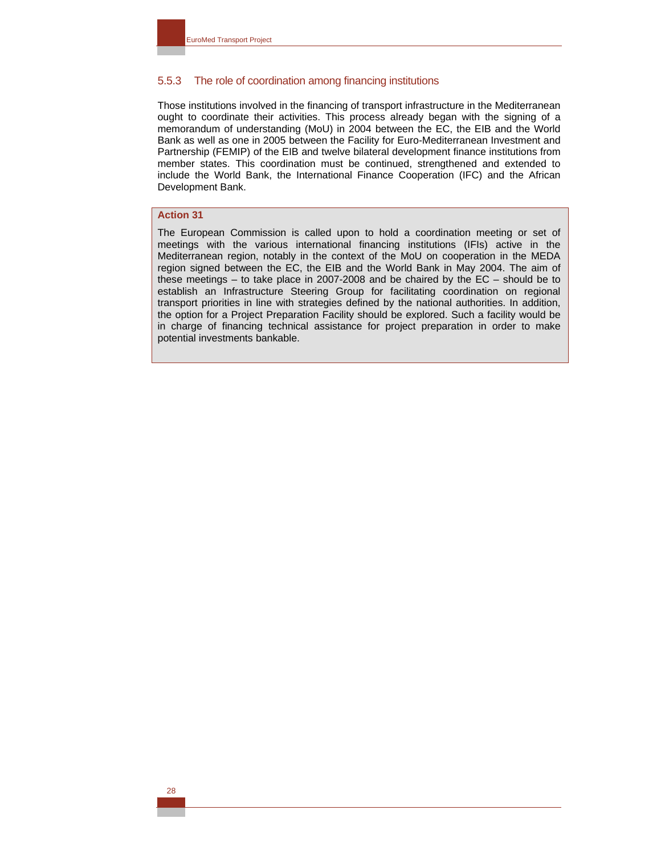## 5.5.3 The role of coordination among financing institutions

Those institutions involved in the financing of transport infrastructure in the Mediterranean ought to coordinate their activities. This process already began with the signing of a memorandum of understanding (MoU) in 2004 between the EC, the EIB and the World Bank as well as one in 2005 between the Facility for Euro-Mediterranean Investment and Partnership (FEMIP) of the EIB and twelve bilateral development finance institutions from member states. This coordination must be continued, strengthened and extended to include the World Bank, the International Finance Cooperation (IFC) and the African Development Bank.

## **Action 31**

The European Commission is called upon to hold a coordination meeting or set of meetings with the various international financing institutions (IFIs) active in the Mediterranean region, notably in the context of the MoU on cooperation in the MEDA region signed between the EC, the EIB and the World Bank in May 2004. The aim of these meetings – to take place in 2007-2008 and be chaired by the EC – should be to establish an Infrastructure Steering Group for facilitating coordination on regional transport priorities in line with strategies defined by the national authorities. In addition, the option for a Project Preparation Facility should be explored. Such a facility would be in charge of financing technical assistance for project preparation in order to make potential investments bankable.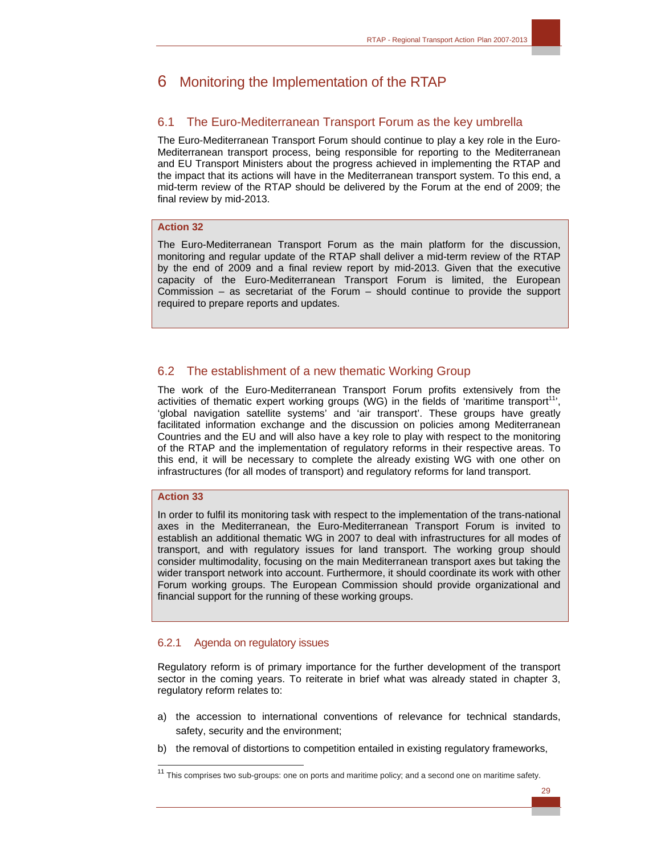# 6 Monitoring the Implementation of the RTAP

## 6.1 The Euro-Mediterranean Transport Forum as the key umbrella

The Euro-Mediterranean Transport Forum should continue to play a key role in the Euro-Mediterranean transport process, being responsible for reporting to the Mediterranean and EU Transport Ministers about the progress achieved in implementing the RTAP and the impact that its actions will have in the Mediterranean transport system. To this end, a mid-term review of the RTAP should be delivered by the Forum at the end of 2009; the final review by mid-2013.

## **Action 32**

The Euro-Mediterranean Transport Forum as the main platform for the discussion, monitoring and regular update of the RTAP shall deliver a mid-term review of the RTAP by the end of 2009 and a final review report by mid-2013. Given that the executive capacity of the Euro-Mediterranean Transport Forum is limited, the European Commission – as secretariat of the Forum – should continue to provide the support required to prepare reports and updates.

## 6.2 The establishment of a new thematic Working Group

The work of the Euro-Mediterranean Transport Forum profits extensively from the activities of thematic expert working groups (WG) in the fields of 'maritime transport<sup>11</sup>', 'global navigation satellite systems' and 'air transport'. These groups have greatly facilitated information exchange and the discussion on policies among Mediterranean Countries and the EU and will also have a key role to play with respect to the monitoring of the RTAP and the implementation of regulatory reforms in their respective areas. To this end, it will be necessary to complete the already existing WG with one other on infrastructures (for all modes of transport) and regulatory reforms for land transport.

## **Action 33**

 $\overline{a}$ 

In order to fulfil its monitoring task with respect to the implementation of the trans-national axes in the Mediterranean, the Euro-Mediterranean Transport Forum is invited to establish an additional thematic WG in 2007 to deal with infrastructures for all modes of transport, and with regulatory issues for land transport. The working group should consider multimodality, focusing on the main Mediterranean transport axes but taking the wider transport network into account. Furthermore, it should coordinate its work with other Forum working groups. The European Commission should provide organizational and financial support for the running of these working groups.

## 6.2.1 Agenda on regulatory issues

Regulatory reform is of primary importance for the further development of the transport sector in the coming years. To reiterate in brief what was already stated in chapter 3, regulatory reform relates to:

- a) the accession to international conventions of relevance for technical standards, safety, security and the environment;
- b) the removal of distortions to competition entailed in existing regulatory frameworks,

 $11$  This comprises two sub-groups: one on ports and maritime policy; and a second one on maritime safety.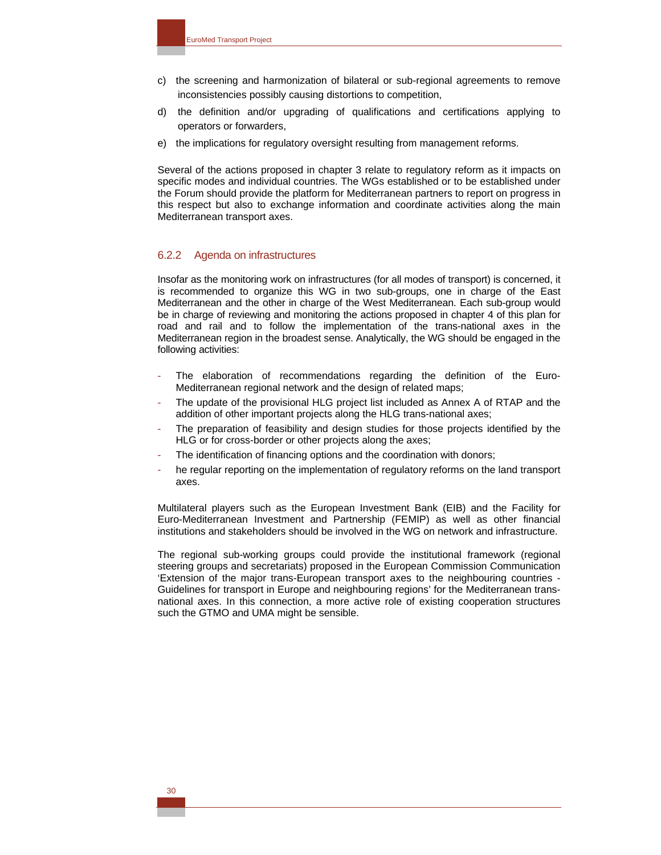- c) the screening and harmonization of bilateral or sub-regional agreements to remove inconsistencies possibly causing distortions to competition,
- d) the definition and/or upgrading of qualifications and certifications applying to operators or forwarders,
- e) the implications for regulatory oversight resulting from management reforms.

Several of the actions proposed in chapter 3 relate to regulatory reform as it impacts on specific modes and individual countries. The WGs established or to be established under the Forum should provide the platform for Mediterranean partners to report on progress in this respect but also to exchange information and coordinate activities along the main Mediterranean transport axes.

#### 6.2.2 Agenda on infrastructures

Insofar as the monitoring work on infrastructures (for all modes of transport) is concerned, it is recommended to organize this WG in two sub-groups, one in charge of the East Mediterranean and the other in charge of the West Mediterranean. Each sub-group would be in charge of reviewing and monitoring the actions proposed in chapter 4 of this plan for road and rail and to follow the implementation of the trans-national axes in the Mediterranean region in the broadest sense. Analytically, the WG should be engaged in the following activities:

- The elaboration of recommendations regarding the definition of the Euro-Mediterranean regional network and the design of related maps;
- The update of the provisional HLG project list included as Annex A of RTAP and the addition of other important projects along the HLG trans-national axes;
- The preparation of feasibility and design studies for those projects identified by the HLG or for cross-border or other projects along the axes;
- The identification of financing options and the coordination with donors;
- he regular reporting on the implementation of regulatory reforms on the land transport axes.

Multilateral players such as the European Investment Bank (EIB) and the Facility for Euro-Mediterranean Investment and Partnership (FEMIP) as well as other financial institutions and stakeholders should be involved in the WG on network and infrastructure.

The regional sub-working groups could provide the institutional framework (regional steering groups and secretariats) proposed in the European Commission Communication 'Extension of the major trans-European transport axes to the neighbouring countries - Guidelines for transport in Europe and neighbouring regions' for the Mediterranean transnational axes. In this connection, a more active role of existing cooperation structures such the GTMO and UMA might be sensible.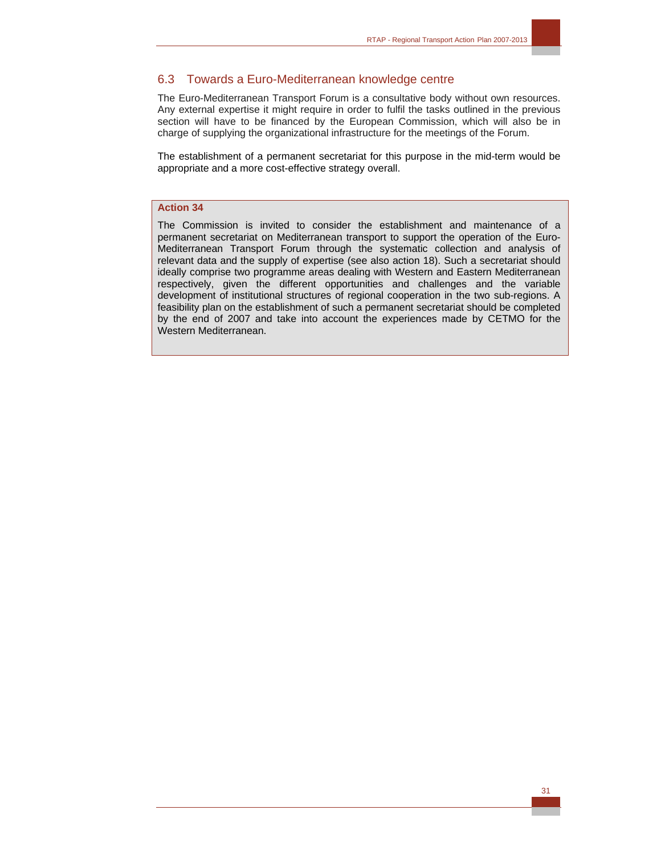## 6.3 Towards a Euro-Mediterranean knowledge centre

The Euro-Mediterranean Transport Forum is a consultative body without own resources. Any external expertise it might require in order to fulfil the tasks outlined in the previous section will have to be financed by the European Commission, which will also be in charge of supplying the organizational infrastructure for the meetings of the Forum.

The establishment of a permanent secretariat for this purpose in the mid-term would be appropriate and a more cost-effective strategy overall.

#### **Action 34**

The Commission is invited to consider the establishment and maintenance of a permanent secretariat on Mediterranean transport to support the operation of the Euro-Mediterranean Transport Forum through the systematic collection and analysis of relevant data and the supply of expertise (see also action 18). Such a secretariat should ideally comprise two programme areas dealing with Western and Eastern Mediterranean respectively, given the different opportunities and challenges and the variable development of institutional structures of regional cooperation in the two sub-regions. A feasibility plan on the establishment of such a permanent secretariat should be completed by the end of 2007 and take into account the experiences made by CETMO for the Western Mediterranean.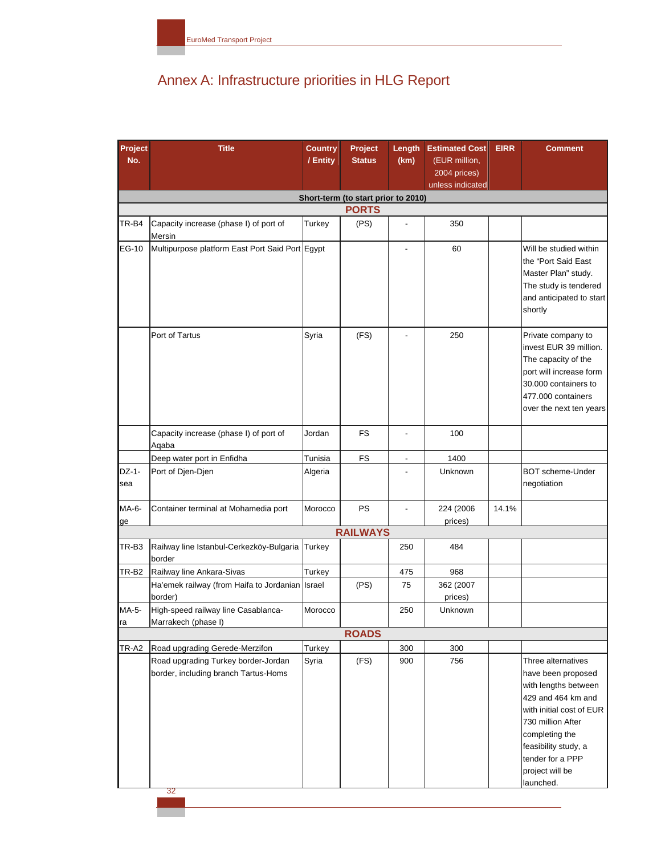# Annex A: Infrastructure priorities in HLG Report

| Project      | <b>Title</b>                                                                | <b>Country</b> | Project                             | Length                   | <b>Estimated Cost</b>         | <b>EIRR</b> | <b>Comment</b>                                                                                                                                                          |
|--------------|-----------------------------------------------------------------------------|----------------|-------------------------------------|--------------------------|-------------------------------|-------------|-------------------------------------------------------------------------------------------------------------------------------------------------------------------------|
| No.          |                                                                             | / Entity       | <b>Status</b>                       | (km)                     | (EUR million,<br>2004 prices) |             |                                                                                                                                                                         |
|              |                                                                             |                |                                     |                          | unless indicated              |             |                                                                                                                                                                         |
|              |                                                                             |                | Short-term (to start prior to 2010) |                          |                               |             |                                                                                                                                                                         |
|              |                                                                             |                | <b>PORTS</b>                        |                          |                               |             |                                                                                                                                                                         |
| TR-B4        | Capacity increase (phase I) of port of<br>Mersin                            | Turkey         | (PS)                                | $\blacksquare$           | 350                           |             |                                                                                                                                                                         |
| EG-10        | Multipurpose platform East Port Said Port Egypt                             |                |                                     |                          | 60                            |             | Will be studied within<br>the "Port Said East<br>Master Plan" study.<br>The study is tendered<br>and anticipated to start<br>shortly                                    |
|              | Port of Tartus                                                              | Syria          | (FS)                                |                          | 250                           |             | Private company to<br>invest EUR 39 million.<br>The capacity of the<br>port will increase form<br>30.000 containers to<br>477.000 containers<br>over the next ten years |
|              | Capacity increase (phase I) of port of<br>Aqaba                             | Jordan         | FS                                  | $\overline{\phantom{a}}$ | 100                           |             |                                                                                                                                                                         |
|              | Deep water port in Enfidha                                                  | Tunisia        | <b>FS</b>                           | $\overline{\phantom{a}}$ | 1400                          |             |                                                                                                                                                                         |
| DZ-1-<br>sea | Port of Djen-Djen                                                           | Algeria        |                                     | $\overline{\phantom{a}}$ | Unknown                       |             | <b>BOT</b> scheme-Under<br>negotiation                                                                                                                                  |
| MA-6-<br>ge  | Container terminal at Mohamedia port                                        | Morocco        | PS                                  | $\overline{\phantom{a}}$ | 224 (2006)<br>prices)         | 14.1%       |                                                                                                                                                                         |
|              |                                                                             |                | <b>RAILWAYS</b>                     |                          |                               |             |                                                                                                                                                                         |
| TR-B3        | Railway line Istanbul-Cerkezköy-Bulgaria<br>border                          | Turkey         |                                     | 250                      | 484                           |             |                                                                                                                                                                         |
| TR-B2        | Railway line Ankara-Sivas                                                   | Turkey         |                                     | 475                      | 968                           |             |                                                                                                                                                                         |
|              | Ha'emek railway (from Haifa to Jordanian Israel<br>border)                  |                | (PS)                                | 75                       | 362 (2007<br>prices)          |             |                                                                                                                                                                         |
| MA-5-<br>ıa  | High-speed railway line Casablanca-<br>Marrakech (phase I)                  | Morocco        |                                     | 250                      | Unknown                       |             |                                                                                                                                                                         |
|              |                                                                             |                | <b>ROADS</b>                        |                          |                               |             |                                                                                                                                                                         |
| TR-A2        | Road upgrading Gerede-Merzifon                                              | Turkey         |                                     | 300                      | 300                           |             |                                                                                                                                                                         |
|              | Road upgrading Turkey border-Jordan<br>border, including branch Tartus-Homs | Syria          | (FS)                                | 900                      | 756                           |             | Three alternatives<br>have been proposed<br>with lengths between<br>429 and 464 km and                                                                                  |
|              | 32                                                                          |                |                                     |                          |                               |             | with initial cost of EUR<br>730 million After<br>completing the<br>feasibility study, a<br>tender for a PPP<br>project will be<br>launched.                             |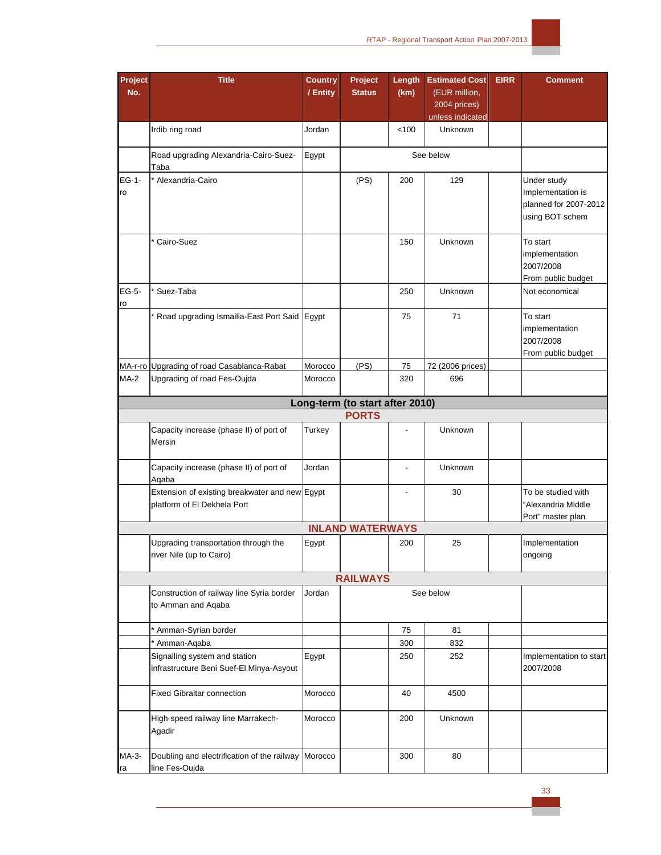

| Project<br>No. | <b>Title</b>                                                                  | <b>Country</b><br>/ Entity | Project<br><b>Status</b>                        | Length<br>(km) | <b>Estimated Cost</b><br>(EUR million, | <b>EIRR</b> | <b>Comment</b>                                                               |
|----------------|-------------------------------------------------------------------------------|----------------------------|-------------------------------------------------|----------------|----------------------------------------|-------------|------------------------------------------------------------------------------|
|                |                                                                               |                            |                                                 |                | 2004 prices)<br>unless indicated       |             |                                                                              |
|                | Irdib ring road                                                               | Jordan                     |                                                 | 100            | Unknown                                |             |                                                                              |
|                | Road upgrading Alexandria-Cairo-Suez-<br>Taba                                 | Egypt                      |                                                 |                | See below                              |             |                                                                              |
| EG-1-<br>ro    | * Alexandria-Cairo                                                            |                            | (PS)                                            | 200            | 129                                    |             | Under study<br>Implementation is<br>planned for 2007-2012<br>using BOT schem |
|                | Cairo-Suez                                                                    |                            |                                                 | 150            | Unknown                                |             | To start<br>implementation<br>2007/2008<br>From public budget                |
| EG-5-<br>ro    | Suez-Taba                                                                     |                            |                                                 | 250            | Unknown                                |             | Not economical                                                               |
|                | Road upgrading Ismailia-East Port Said Egypt                                  |                            |                                                 | 75             | 71                                     |             | To start<br>implementation<br>2007/2008<br>From public budget                |
|                | MA-r-ro Upgrading of road Casablanca-Rabat                                    | Morocco                    | (PS)                                            | 75             | 72 (2006 prices)                       |             |                                                                              |
| $MA-2$         | Upgrading of road Fes-Oujda                                                   | Morocco                    |                                                 | 320            | 696                                    |             |                                                                              |
|                |                                                                               |                            | Long-term (to start after 2010)<br><b>PORTS</b> |                |                                        |             |                                                                              |
|                | Capacity increase (phase II) of port of<br>Mersin                             | Turkey                     |                                                 |                | Unknown                                |             |                                                                              |
|                | Capacity increase (phase II) of port of<br>Aqaba                              | Jordan                     |                                                 | $\blacksquare$ | Unknown                                |             |                                                                              |
|                | Extension of existing breakwater and new Egypt<br>platform of El Dekhela Port |                            |                                                 |                | 30                                     |             | To be studied with<br>"Alexandria Middle<br>Port" master plan                |
|                |                                                                               |                            | <b>INLAND WATERWAYS</b>                         |                |                                        |             |                                                                              |
|                | Upgrading transportation through the<br>river Nile (up to Cairo)              | Egypt                      |                                                 | 200            | 25                                     |             | Implementation<br>ongoing                                                    |
|                |                                                                               |                            | <b>RAILWAYS</b>                                 |                |                                        |             |                                                                              |
|                | Construction of railway line Syria border<br>to Amman and Aqaba               | Jordan                     |                                                 |                | See below                              |             |                                                                              |
|                | * Amman-Syrian border                                                         |                            |                                                 | 75             | 81                                     |             |                                                                              |
|                | * Amman-Aqaba                                                                 |                            |                                                 | 300            | 832                                    |             |                                                                              |
|                | Signalling system and station<br>infrastructure Beni Suef-El Minya-Asyout     | Egypt                      |                                                 | 250            | 252                                    |             | Implementation to start<br>2007/2008                                         |
|                | <b>Fixed Gibraltar connection</b>                                             | Morocco                    |                                                 | 40             | 4500                                   |             |                                                                              |
|                | High-speed railway line Marrakech-<br>Agadir                                  | Morocco                    |                                                 | 200            | Unknown                                |             |                                                                              |
| MA-3-<br>Ira   | Doubling and electrification of the railway Morocco<br>line Fes-Oujda         |                            |                                                 | 300            | 80                                     |             |                                                                              |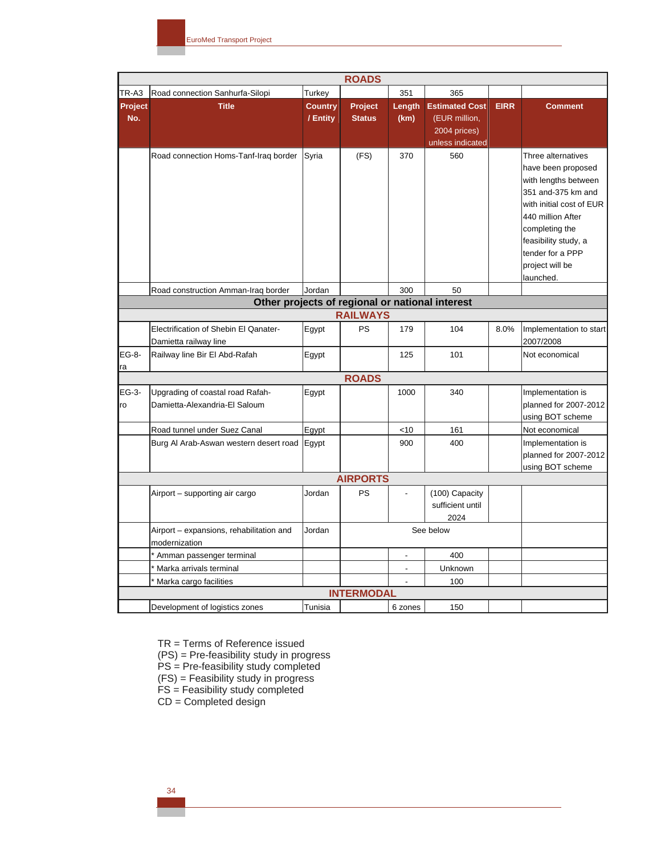|                                                 |                                                                   |                            | <b>ROADS</b>             |                |                                                                            |             |                                                                                                                                                                                                                                       |  |  |  |
|-------------------------------------------------|-------------------------------------------------------------------|----------------------------|--------------------------|----------------|----------------------------------------------------------------------------|-------------|---------------------------------------------------------------------------------------------------------------------------------------------------------------------------------------------------------------------------------------|--|--|--|
| TR-A3                                           | Road connection Sanhurfa-Silopi                                   | Turkey                     |                          | 351            | 365                                                                        |             |                                                                                                                                                                                                                                       |  |  |  |
| Project<br>No.                                  | <b>Title</b>                                                      | <b>Country</b><br>/ Entity | Project<br><b>Status</b> | Length<br>(km) | <b>Estimated Cost</b><br>(EUR million,<br>2004 prices)<br>unless indicated | <b>EIRR</b> | <b>Comment</b>                                                                                                                                                                                                                        |  |  |  |
|                                                 | Road connection Homs-Tanf-Iraq border                             | Syria                      | (FS)                     | 370            | 560                                                                        |             | Three alternatives<br>have been proposed<br>with lengths between<br>351 and-375 km and<br>with initial cost of EUR<br>440 million After<br>completing the<br>feasibility study, a<br>tender for a PPP<br>project will be<br>launched. |  |  |  |
|                                                 | Road construction Amman-Iraq border                               | Jordan                     |                          | 300            | 50                                                                         |             |                                                                                                                                                                                                                                       |  |  |  |
| Other projects of regional or national interest |                                                                   |                            |                          |                |                                                                            |             |                                                                                                                                                                                                                                       |  |  |  |
|                                                 |                                                                   |                            | <b>RAILWAYS</b>          |                |                                                                            |             |                                                                                                                                                                                                                                       |  |  |  |
|                                                 | Electrification of Shebin El Qanater-<br>Damietta railway line    | Egypt                      | <b>PS</b>                | 179            | 104                                                                        | 8.0%        | Implementation to start<br>2007/2008                                                                                                                                                                                                  |  |  |  |
| EG-8-<br>ra                                     | Railway line Bir El Abd-Rafah                                     | Egypt                      |                          | 125            | 101                                                                        |             | Not economical                                                                                                                                                                                                                        |  |  |  |
|                                                 |                                                                   |                            | <b>ROADS</b>             |                |                                                                            |             |                                                                                                                                                                                                                                       |  |  |  |
| EG-3-<br>ro                                     | Upgrading of coastal road Rafah-<br>Damietta-Alexandria-El Saloum | Egypt                      |                          | 1000           | 340                                                                        |             | Implementation is<br>planned for 2007-2012<br>using BOT scheme                                                                                                                                                                        |  |  |  |
|                                                 | Road tunnel under Suez Canal                                      | Egypt                      |                          | <10            | 161                                                                        |             | Not economical                                                                                                                                                                                                                        |  |  |  |
|                                                 | Burg Al Arab-Aswan western desert road                            | Egypt                      |                          | 900            | 400                                                                        |             | Implementation is<br>planned for 2007-2012<br>using BOT scheme                                                                                                                                                                        |  |  |  |
|                                                 |                                                                   |                            | <b>AIRPORTS</b>          |                |                                                                            |             |                                                                                                                                                                                                                                       |  |  |  |
|                                                 | Airport - supporting air cargo                                    | Jordan                     | PS                       | L.             | (100) Capacity<br>sufficient until<br>2024                                 |             |                                                                                                                                                                                                                                       |  |  |  |
|                                                 | Airport - expansions, rehabilitation and<br>modernization         | Jordan                     |                          |                | See below                                                                  |             |                                                                                                                                                                                                                                       |  |  |  |
|                                                 | * Amman passenger terminal                                        |                            |                          |                | 400                                                                        |             |                                                                                                                                                                                                                                       |  |  |  |
|                                                 | Marka arrivals terminal                                           |                            |                          | $\overline{a}$ | Unknown                                                                    |             |                                                                                                                                                                                                                                       |  |  |  |
|                                                 | Marka cargo facilities                                            |                            |                          | $\overline{a}$ | 100                                                                        |             |                                                                                                                                                                                                                                       |  |  |  |
|                                                 |                                                                   |                            | <b>INTERMODAL</b>        |                |                                                                            |             |                                                                                                                                                                                                                                       |  |  |  |
|                                                 | Development of logistics zones                                    | Tunisia                    |                          | 6 zones        | 150                                                                        |             |                                                                                                                                                                                                                                       |  |  |  |

TR = Terms of Reference issued

(PS) = Pre-feasibility study in progress

PS = Pre-feasibility study completed

 $(FS)$  = Feasibility study in progress

FS = Feasibility study completed

 $CD =$  Completed design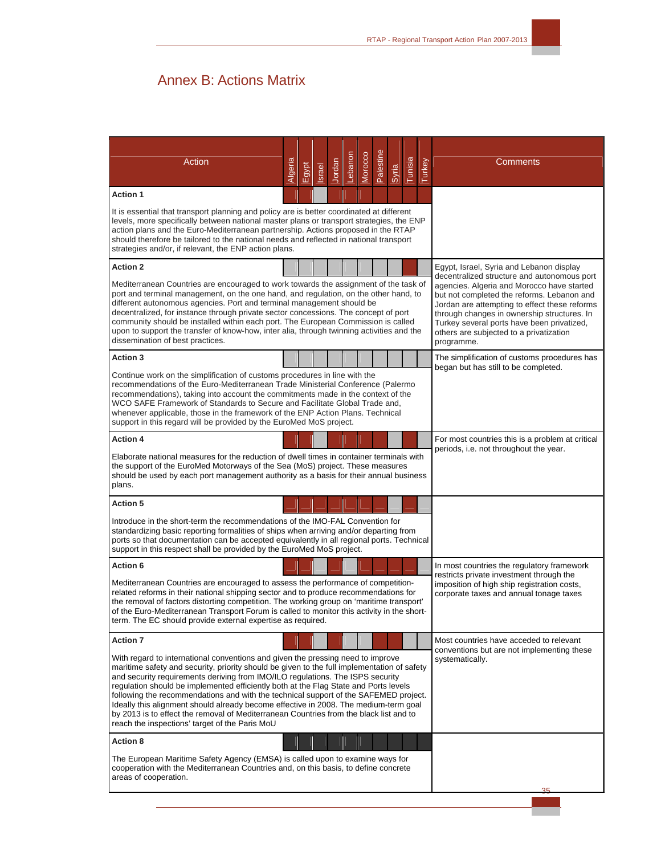# Annex B: Actions Matrix

| <b>Action</b>                                                                                                                                                                                                                                                                                                                                                                                                                                                                                                                                                                                                                                                                        | Algeria | Egypt | Israel | Jordan | Lebanon | Morocco | Palestine | <b>Syria</b> | Tunisia | Turkey                                                                                                                                                                                                                                                                                          | Comments                                                                                |
|--------------------------------------------------------------------------------------------------------------------------------------------------------------------------------------------------------------------------------------------------------------------------------------------------------------------------------------------------------------------------------------------------------------------------------------------------------------------------------------------------------------------------------------------------------------------------------------------------------------------------------------------------------------------------------------|---------|-------|--------|--------|---------|---------|-----------|--------------|---------|-------------------------------------------------------------------------------------------------------------------------------------------------------------------------------------------------------------------------------------------------------------------------------------------------|-----------------------------------------------------------------------------------------|
| <b>Action 1</b><br>It is essential that transport planning and policy are is better coordinated at different<br>levels, more specifically between national master plans or transport strategies, the ENP<br>action plans and the Euro-Mediterranean partnership. Actions proposed in the RTAP                                                                                                                                                                                                                                                                                                                                                                                        |         |       |        |        |         |         |           |              |         |                                                                                                                                                                                                                                                                                                 |                                                                                         |
| should therefore be tailored to the national needs and reflected in national transport<br>strategies and/or, if relevant, the ENP action plans.                                                                                                                                                                                                                                                                                                                                                                                                                                                                                                                                      |         |       |        |        |         |         |           |              |         |                                                                                                                                                                                                                                                                                                 |                                                                                         |
| <b>Action 2</b>                                                                                                                                                                                                                                                                                                                                                                                                                                                                                                                                                                                                                                                                      |         |       |        |        |         |         |           |              |         |                                                                                                                                                                                                                                                                                                 | Egypt, Israel, Syria and Lebanon display<br>decentralized structure and autonomous port |
| Mediterranean Countries are encouraged to work towards the assignment of the task of<br>port and terminal management, on the one hand, and regulation, on the other hand, to<br>different autonomous agencies. Port and terminal management should be<br>decentralized, for instance through private sector concessions. The concept of port<br>community should be installed within each port. The European Commission is called<br>upon to support the transfer of know-how, inter alia, through twinning activities and the<br>dissemination of best practices.                                                                                                                   |         |       |        |        |         |         |           |              |         | agencies. Algeria and Morocco have started<br>but not completed the reforms. Lebanon and<br>Jordan are attempting to effect these reforms<br>through changes in ownership structures. In<br>Turkey several ports have been privatized,<br>others are subjected to a privatization<br>programme. |                                                                                         |
| <b>Action 3</b>                                                                                                                                                                                                                                                                                                                                                                                                                                                                                                                                                                                                                                                                      |         |       |        |        |         |         |           |              |         |                                                                                                                                                                                                                                                                                                 | The simplification of customs procedures has                                            |
| Continue work on the simplification of customs procedures in line with the<br>recommendations of the Euro-Mediterranean Trade Ministerial Conference (Palermo<br>recommendations), taking into account the commitments made in the context of the<br>WCO SAFE Framework of Standards to Secure and Facilitate Global Trade and,<br>whenever applicable, those in the framework of the ENP Action Plans. Technical<br>support in this regard will be provided by the EuroMed MoS project.                                                                                                                                                                                             |         |       |        |        |         |         |           |              |         |                                                                                                                                                                                                                                                                                                 | began but has still to be completed.                                                    |
| <b>Action 4</b>                                                                                                                                                                                                                                                                                                                                                                                                                                                                                                                                                                                                                                                                      |         |       |        |        |         |         |           |              |         |                                                                                                                                                                                                                                                                                                 | For most countries this is a problem at critical                                        |
| Elaborate national measures for the reduction of dwell times in container terminals with<br>the support of the EuroMed Motorways of the Sea (MoS) project. These measures<br>should be used by each port management authority as a basis for their annual business<br>plans.                                                                                                                                                                                                                                                                                                                                                                                                         |         |       |        |        |         |         |           |              |         |                                                                                                                                                                                                                                                                                                 | periods, i.e. not throughout the year.                                                  |
| <b>Action 5</b>                                                                                                                                                                                                                                                                                                                                                                                                                                                                                                                                                                                                                                                                      |         |       |        |        |         |         |           |              |         |                                                                                                                                                                                                                                                                                                 |                                                                                         |
| Introduce in the short-term the recommendations of the IMO-FAL Convention for<br>standardizing basic reporting formalities of ships when arriving and/or departing from<br>ports so that documentation can be accepted equivalently in all regional ports. Technical<br>support in this respect shall be provided by the EuroMed MoS project.                                                                                                                                                                                                                                                                                                                                        |         |       |        |        |         |         |           |              |         |                                                                                                                                                                                                                                                                                                 |                                                                                         |
| <b>Action 6</b>                                                                                                                                                                                                                                                                                                                                                                                                                                                                                                                                                                                                                                                                      |         |       |        |        |         |         |           |              |         |                                                                                                                                                                                                                                                                                                 | In most countries the regulatory framework<br>restricts private investment through the  |
| Mediterranean Countries are encouraged to assess the performance of competition-<br>related reforms in their national shipping sector and to produce recommendations for<br>the removal of factors distorting competition. The working group on 'maritime transport'<br>of the Euro-Mediterranean Transport Forum is called to monitor this activity in the short-<br>term. The EC should provide external expertise as required.                                                                                                                                                                                                                                                    |         |       |        |        |         |         |           |              |         |                                                                                                                                                                                                                                                                                                 | imposition of high ship registration costs,<br>corporate taxes and annual tonage taxes  |
| <b>Action 7</b>                                                                                                                                                                                                                                                                                                                                                                                                                                                                                                                                                                                                                                                                      |         |       |        |        |         |         |           |              |         |                                                                                                                                                                                                                                                                                                 | Most countries have acceded to relevant                                                 |
| With regard to international conventions and given the pressing need to improve<br>maritime safety and security, priority should be given to the full implementation of safety<br>and security requirements deriving from IMO/ILO regulations. The ISPS security<br>regulation should be implemented efficiently both at the Flag State and Ports levels<br>following the recommendations and with the technical support of the SAFEMED project.<br>Ideally this alignment should already become effective in 2008. The medium-term goal<br>by 2013 is to effect the removal of Mediterranean Countries from the black list and to<br>reach the inspections' target of the Paris MoU |         |       |        |        |         |         |           |              |         |                                                                                                                                                                                                                                                                                                 | conventions but are not implementing these<br>systematically.                           |
| <b>Action 8</b>                                                                                                                                                                                                                                                                                                                                                                                                                                                                                                                                                                                                                                                                      |         |       |        |        |         |         |           |              |         |                                                                                                                                                                                                                                                                                                 |                                                                                         |
| The European Maritime Safety Agency (EMSA) is called upon to examine ways for<br>cooperation with the Mediterranean Countries and, on this basis, to define concrete<br>areas of cooperation.                                                                                                                                                                                                                                                                                                                                                                                                                                                                                        |         |       |        |        |         |         |           |              |         |                                                                                                                                                                                                                                                                                                 |                                                                                         |
|                                                                                                                                                                                                                                                                                                                                                                                                                                                                                                                                                                                                                                                                                      |         |       |        |        |         |         |           |              |         |                                                                                                                                                                                                                                                                                                 | つら                                                                                      |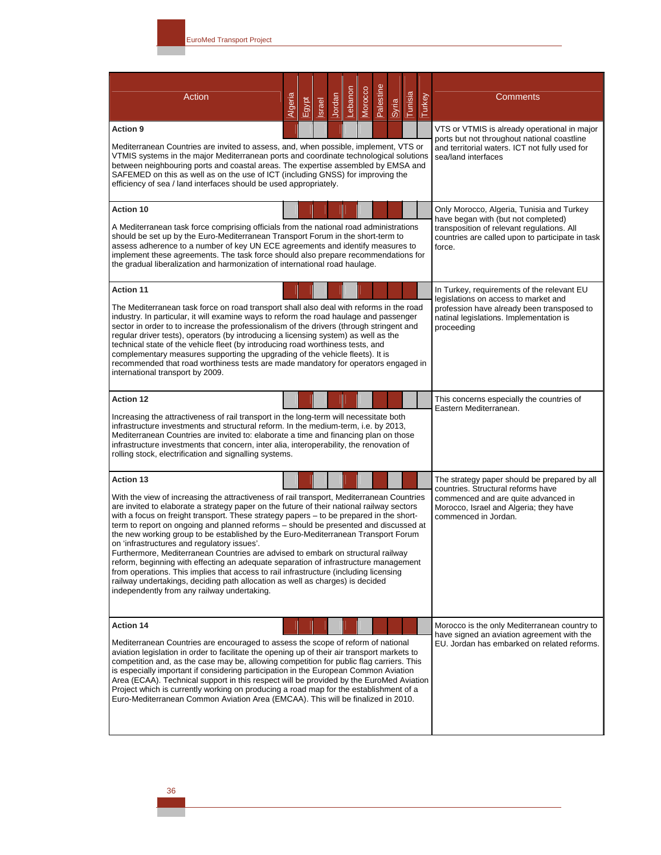| Action                                                                                                                                                                                                                                                                                                                                                                                                                                                                                                                                                                  | Algeria | Egypt | Israel | Jordan | Lebanon | Morocco | Palestine | Syria | Tunisia                                                                                                                                                              | Turkey                                                                                                                         | <b>Comments</b>                                                                                                                  |
|-------------------------------------------------------------------------------------------------------------------------------------------------------------------------------------------------------------------------------------------------------------------------------------------------------------------------------------------------------------------------------------------------------------------------------------------------------------------------------------------------------------------------------------------------------------------------|---------|-------|--------|--------|---------|---------|-----------|-------|----------------------------------------------------------------------------------------------------------------------------------------------------------------------|--------------------------------------------------------------------------------------------------------------------------------|----------------------------------------------------------------------------------------------------------------------------------|
| <b>Action 9</b><br>Mediterranean Countries are invited to assess, and, when possible, implement, VTS or<br>VTMIS systems in the major Mediterranean ports and coordinate technological solutions<br>between neighbouring ports and coastal areas. The expertise assembled by EMSA and                                                                                                                                                                                                                                                                                   |         |       |        |        |         |         |           |       | VTS or VTMIS is already operational in major<br>ports but not throughout national coastline<br>and territorial waters. ICT not fully used for<br>sea/land interfaces |                                                                                                                                |                                                                                                                                  |
| SAFEMED on this as well as on the use of ICT (including GNSS) for improving the<br>efficiency of sea / land interfaces should be used appropriately.                                                                                                                                                                                                                                                                                                                                                                                                                    |         |       |        |        |         |         |           |       |                                                                                                                                                                      |                                                                                                                                |                                                                                                                                  |
| <b>Action 10</b><br>A Mediterranean task force comprising officials from the national road administrations                                                                                                                                                                                                                                                                                                                                                                                                                                                              |         |       |        |        |         |         |           |       |                                                                                                                                                                      | Only Morocco, Algeria, Tunisia and Turkey<br>have began with (but not completed)<br>transposition of relevant regulations. All |                                                                                                                                  |
| should be set up by the Euro-Mediterranean Transport Forum in the short-term to<br>assess adherence to a number of key UN ECE agreements and identify measures to<br>implement these agreements. The task force should also prepare recommendations for<br>the gradual liberalization and harmonization of international road haulage.                                                                                                                                                                                                                                  |         |       |        |        |         |         |           |       |                                                                                                                                                                      |                                                                                                                                | countries are called upon to participate in task<br>force.                                                                       |
| <b>Action 11</b><br>The Mediterranean task force on road transport shall also deal with reforms in the road                                                                                                                                                                                                                                                                                                                                                                                                                                                             |         |       |        |        |         |         |           |       |                                                                                                                                                                      |                                                                                                                                | In Turkey, requirements of the relevant EU<br>legislations on access to market and<br>profession have already been transposed to |
| industry. In particular, it will examine ways to reform the road haulage and passenger<br>sector in order to to increase the professionalism of the drivers (through stringent and<br>regular driver tests), operators (by introducing a licensing system) as well as the<br>technical state of the vehicle fleet (by introducing road worthiness tests, and<br>complementary measures supporting the upgrading of the vehicle fleets). It is<br>recommended that road worthiness tests are made mandatory for operators engaged in<br>international transport by 2009. |         |       |        |        |         |         |           |       |                                                                                                                                                                      |                                                                                                                                | natinal legislations. Implementation is<br>proceeding                                                                            |
| <b>Action 12</b><br>Increasing the attractiveness of rail transport in the long-term will necessitate both                                                                                                                                                                                                                                                                                                                                                                                                                                                              |         |       |        |        |         |         |           |       |                                                                                                                                                                      |                                                                                                                                | This concerns especially the countries of<br>Eastern Mediterranean.                                                              |
| infrastructure investments and structural reform. In the medium-term, i.e. by 2013,<br>Mediterranean Countries are invited to: elaborate a time and financing plan on those<br>infrastructure investments that concern, inter alia, interoperability, the renovation of<br>rolling stock, electrification and signalling systems.                                                                                                                                                                                                                                       |         |       |        |        |         |         |           |       |                                                                                                                                                                      |                                                                                                                                |                                                                                                                                  |
| <b>Action 13</b><br>With the view of increasing the attractiveness of rail transport, Mediterranean Countries                                                                                                                                                                                                                                                                                                                                                                                                                                                           |         |       |        |        |         |         |           |       |                                                                                                                                                                      |                                                                                                                                | The strategy paper should be prepared by all<br>countries. Structural reforms have<br>commenced and are quite advanced in        |
| are invited to elaborate a strategy paper on the future of their national railway sectors<br>with a focus on freight transport. These strategy papers – to be prepared in the short-<br>term to report on ongoing and planned reforms – should be presented and discussed at<br>the new working group to be established by the Euro-Mediterranean Transport Forum<br>on 'infrastructures and regulatory issues'.                                                                                                                                                        |         |       |        |        |         |         |           |       |                                                                                                                                                                      |                                                                                                                                | Morocco, Israel and Algeria; they have<br>commenced in Jordan.                                                                   |
| Furthermore, Mediterranean Countries are advised to embark on structural railway<br>reform, beginning with effecting an adequate separation of infrastructure management<br>from operations. This implies that access to rail infrastructure (including licensing<br>railway undertakings, deciding path allocation as well as charges) is decided<br>independently from any railway undertaking.                                                                                                                                                                       |         |       |        |        |         |         |           |       |                                                                                                                                                                      |                                                                                                                                |                                                                                                                                  |
| <b>Action 14</b><br>Mediterranean Countries are encouraged to assess the scope of reform of national                                                                                                                                                                                                                                                                                                                                                                                                                                                                    |         |       |        |        |         |         |           |       |                                                                                                                                                                      |                                                                                                                                | Morocco is the only Mediterranean country to<br>have signed an aviation agreement with the                                       |
| aviation legislation in order to facilitate the opening up of their air transport markets to<br>competition and, as the case may be, allowing competition for public flag carriers. This<br>is especially important if considering participation in the European Common Aviation<br>Area (ECAA). Technical support in this respect will be provided by the EuroMed Aviation<br>Project which is currently working on producing a road map for the establishment of a<br>Euro-Mediterranean Common Aviation Area (EMCAA). This will be finalized in 2010.                |         |       |        |        |         |         |           |       |                                                                                                                                                                      |                                                                                                                                | EU. Jordan has embarked on related reforms.                                                                                      |
|                                                                                                                                                                                                                                                                                                                                                                                                                                                                                                                                                                         |         |       |        |        |         |         |           |       |                                                                                                                                                                      |                                                                                                                                |                                                                                                                                  |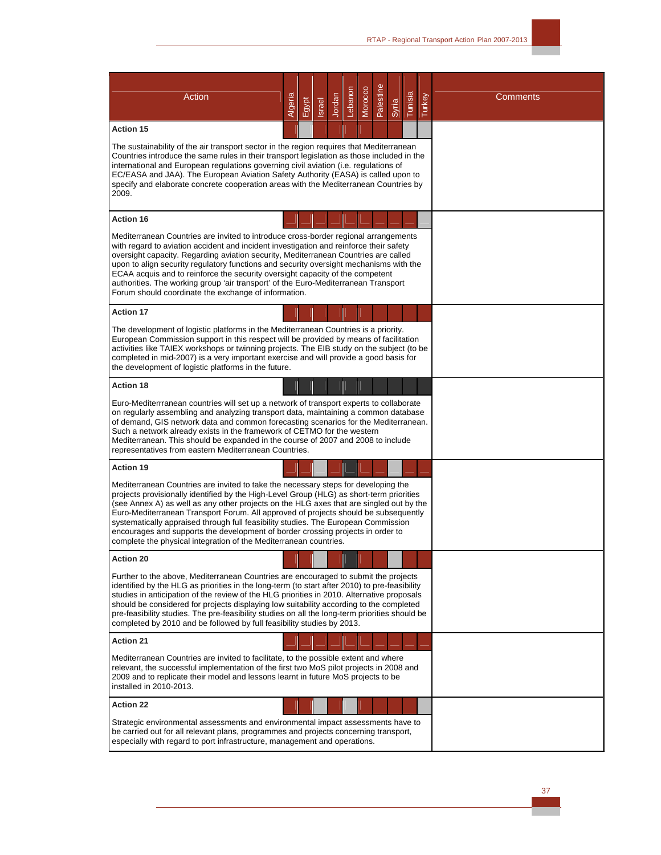| Action                                                                                                                                                                                                                                                                                                                                                                                                                                                                                                                                                                                                         | Algeria | Egypt | <b>Israel</b> | Jordan | Lebanon | Morocco | Palestine | Syria | Tunisia | <b>Turkey</b> | Comments |
|----------------------------------------------------------------------------------------------------------------------------------------------------------------------------------------------------------------------------------------------------------------------------------------------------------------------------------------------------------------------------------------------------------------------------------------------------------------------------------------------------------------------------------------------------------------------------------------------------------------|---------|-------|---------------|--------|---------|---------|-----------|-------|---------|---------------|----------|
| <b>Action 15</b>                                                                                                                                                                                                                                                                                                                                                                                                                                                                                                                                                                                               |         |       |               |        |         |         |           |       |         |               |          |
| The sustainability of the air transport sector in the region requires that Mediterranean<br>Countries introduce the same rules in their transport legislation as those included in the<br>international and European regulations governing civil aviation (i.e. regulations of<br>EC/EASA and JAA). The European Aviation Safety Authority (EASA) is called upon to<br>specify and elaborate concrete cooperation areas with the Mediterranean Countries by<br>2009.                                                                                                                                           |         |       |               |        |         |         |           |       |         |               |          |
| <b>Action 16</b>                                                                                                                                                                                                                                                                                                                                                                                                                                                                                                                                                                                               |         |       |               |        |         |         |           |       |         |               |          |
| Mediterranean Countries are invited to introduce cross-border regional arrangements<br>with regard to aviation accident and incident investigation and reinforce their safety<br>oversight capacity. Regarding aviation security, Mediterranean Countries are called<br>upon to align security regulatory functions and security oversight mechanisms with the<br>ECAA acquis and to reinforce the security oversight capacity of the competent<br>authorities. The working group 'air transport' of the Euro-Mediterranean Transport<br>Forum should coordinate the exchange of information.                  |         |       |               |        |         |         |           |       |         |               |          |
| <b>Action 17</b>                                                                                                                                                                                                                                                                                                                                                                                                                                                                                                                                                                                               |         |       |               |        |         |         |           |       |         |               |          |
| The development of logistic platforms in the Mediterranean Countries is a priority.<br>European Commission support in this respect will be provided by means of facilitation<br>activities like TAIEX workshops or twinning projects. The EIB study on the subject (to be<br>completed in mid-2007) is a very important exercise and will provide a good basis for<br>the development of logistic platforms in the future.                                                                                                                                                                                     |         |       |               |        |         |         |           |       |         |               |          |
| <b>Action 18</b>                                                                                                                                                                                                                                                                                                                                                                                                                                                                                                                                                                                               |         |       |               |        |         |         |           |       |         |               |          |
| Euro-Mediterrranean countries will set up a network of transport experts to collaborate<br>on regularly assembling and analyzing transport data, maintaining a common database<br>of demand, GIS network data and common forecasting scenarios for the Mediterranean.<br>Such a network already exists in the framework of CETMO for the western<br>Mediterranean. This should be expanded in the course of 2007 and 2008 to include<br>representatives from eastern Mediterranean Countries.                                                                                                                  |         |       |               |        |         |         |           |       |         |               |          |
| <b>Action 19</b>                                                                                                                                                                                                                                                                                                                                                                                                                                                                                                                                                                                               |         |       |               |        |         |         |           |       |         |               |          |
| Mediterranean Countries are invited to take the necessary steps for developing the<br>projects provisionally identified by the High-Level Group (HLG) as short-term priorities<br>(see Annex A) as well as any other projects on the HLG axes that are singled out by the<br>Euro-Mediterranean Transport Forum. All approved of projects should be subsequently<br>systematically appraised through full feasibility studies. The European Commission<br>encourages and supports the development of border crossing projects in order to<br>complete the physical integration of the Mediterranean countries. |         |       |               |        |         |         |           |       |         |               |          |
| <b>Action 20</b>                                                                                                                                                                                                                                                                                                                                                                                                                                                                                                                                                                                               |         |       |               |        |         |         |           |       |         |               |          |
| Further to the above, Mediterranean Countries are encouraged to submit the projects<br>identified by the HLG as priorities in the long-term (to start after 2010) to pre-feasibility<br>studies in anticipation of the review of the HLG priorities in 2010. Alternative proposals<br>should be considered for projects displaying low suitability according to the completed<br>pre-feasibility studies. The pre-feasibility studies on all the long-term priorities should be<br>completed by 2010 and be followed by full feasibility studies by 2013.                                                      |         |       |               |        |         |         |           |       |         |               |          |
| <b>Action 21</b>                                                                                                                                                                                                                                                                                                                                                                                                                                                                                                                                                                                               |         |       |               |        |         |         |           |       |         |               |          |
| Mediterranean Countries are invited to facilitate, to the possible extent and where<br>relevant, the successful implementation of the first two MoS pilot projects in 2008 and<br>2009 and to replicate their model and lessons learnt in future MoS projects to be<br>installed in 2010-2013.                                                                                                                                                                                                                                                                                                                 |         |       |               |        |         |         |           |       |         |               |          |
| <b>Action 22</b>                                                                                                                                                                                                                                                                                                                                                                                                                                                                                                                                                                                               |         |       |               |        |         |         |           |       |         |               |          |
| Strategic environmental assessments and environmental impact assessments have to<br>be carried out for all relevant plans, programmes and projects concerning transport,<br>especially with regard to port infrastructure, management and operations.                                                                                                                                                                                                                                                                                                                                                          |         |       |               |        |         |         |           |       |         |               |          |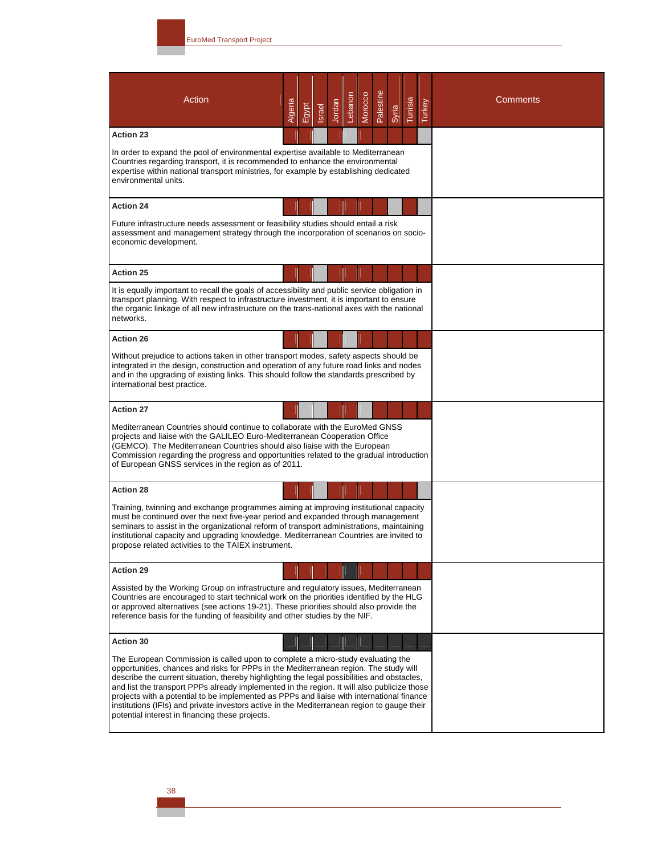| <b>Action</b>                                                                                                                                                                                                                                                                                                                                                                                                                                                                                                                                                                                                         | Algeria | Egypt | <b>Israel</b> | Jordan | Lebanon | Morocco | Palestine | Syria | Tunisia | Turkey | <b>Comments</b> |
|-----------------------------------------------------------------------------------------------------------------------------------------------------------------------------------------------------------------------------------------------------------------------------------------------------------------------------------------------------------------------------------------------------------------------------------------------------------------------------------------------------------------------------------------------------------------------------------------------------------------------|---------|-------|---------------|--------|---------|---------|-----------|-------|---------|--------|-----------------|
| <b>Action 23</b>                                                                                                                                                                                                                                                                                                                                                                                                                                                                                                                                                                                                      |         |       |               |        |         |         |           |       |         |        |                 |
| In order to expand the pool of environmental expertise available to Mediterranean<br>Countries regarding transport, it is recommended to enhance the environmental<br>expertise within national transport ministries, for example by establishing dedicated<br>environmental units.                                                                                                                                                                                                                                                                                                                                   |         |       |               |        |         |         |           |       |         |        |                 |
| <b>Action 24</b>                                                                                                                                                                                                                                                                                                                                                                                                                                                                                                                                                                                                      |         |       |               |        |         |         |           |       |         |        |                 |
| Future infrastructure needs assessment or feasibility studies should entail a risk<br>assessment and management strategy through the incorporation of scenarios on socio-<br>economic development.                                                                                                                                                                                                                                                                                                                                                                                                                    |         |       |               |        |         |         |           |       |         |        |                 |
| <b>Action 25</b>                                                                                                                                                                                                                                                                                                                                                                                                                                                                                                                                                                                                      |         |       |               |        |         |         |           |       |         |        |                 |
| It is equally important to recall the goals of accessibility and public service obligation in<br>transport planning. With respect to infrastructure investment, it is important to ensure<br>the organic linkage of all new infrastructure on the trans-national axes with the national<br>networks.                                                                                                                                                                                                                                                                                                                  |         |       |               |        |         |         |           |       |         |        |                 |
| <b>Action 26</b>                                                                                                                                                                                                                                                                                                                                                                                                                                                                                                                                                                                                      |         |       |               |        |         |         |           |       |         |        |                 |
| Without prejudice to actions taken in other transport modes, safety aspects should be<br>integrated in the design, construction and operation of any future road links and nodes<br>and in the upgrading of existing links. This should follow the standards prescribed by<br>international best practice.                                                                                                                                                                                                                                                                                                            |         |       |               |        |         |         |           |       |         |        |                 |
| <b>Action 27</b>                                                                                                                                                                                                                                                                                                                                                                                                                                                                                                                                                                                                      |         |       |               |        |         |         |           |       |         |        |                 |
| Mediterranean Countries should continue to collaborate with the EuroMed GNSS<br>projects and liaise with the GALILEO Euro-Mediterranean Cooperation Office<br>(GEMCO). The Mediterranean Countries should also liaise with the European<br>Commission regarding the progress and opportunities related to the gradual introduction<br>of European GNSS services in the region as of 2011.                                                                                                                                                                                                                             |         |       |               |        |         |         |           |       |         |        |                 |
| <b>Action 28</b>                                                                                                                                                                                                                                                                                                                                                                                                                                                                                                                                                                                                      |         |       |               |        |         |         |           |       |         |        |                 |
| Training, twinning and exchange programmes aiming at improving institutional capacity<br>must be continued over the next five-year period and expanded through management<br>seminars to assist in the organizational reform of transport administrations, maintaining<br>institutional capacity and upgrading knowledge. Mediterranean Countries are invited to<br>propose related activities to the TAIEX instrument.                                                                                                                                                                                               |         |       |               |        |         |         |           |       |         |        |                 |
| <b>Action 29</b>                                                                                                                                                                                                                                                                                                                                                                                                                                                                                                                                                                                                      |         |       |               |        |         |         |           |       |         |        |                 |
| Assisted by the Working Group on infrastructure and regulatory issues, Mediterranean<br>Countries are encouraged to start technical work on the priorities identified by the HLG<br>or approved alternatives (see actions 19-21). These priorities should also provide the<br>reference basis for the funding of feasibility and other studies by the NIF.                                                                                                                                                                                                                                                            |         |       |               |        |         |         |           |       |         |        |                 |
| <b>Action 30</b>                                                                                                                                                                                                                                                                                                                                                                                                                                                                                                                                                                                                      |         |       |               |        |         |         |           |       |         |        |                 |
| The European Commission is called upon to complete a micro-study evaluating the<br>opportunities, chances and risks for PPPs in the Mediterranean region. The study will<br>describe the current situation, thereby highlighting the legal possibilities and obstacles,<br>and list the transport PPPs already implemented in the region. It will also publicize those<br>projects with a potential to be implemented as PPPs and liaise with international finance<br>institutions (IFIs) and private investors active in the Mediterranean region to gauge their<br>potential interest in financing these projects. |         |       |               |        |         |         |           |       |         |        |                 |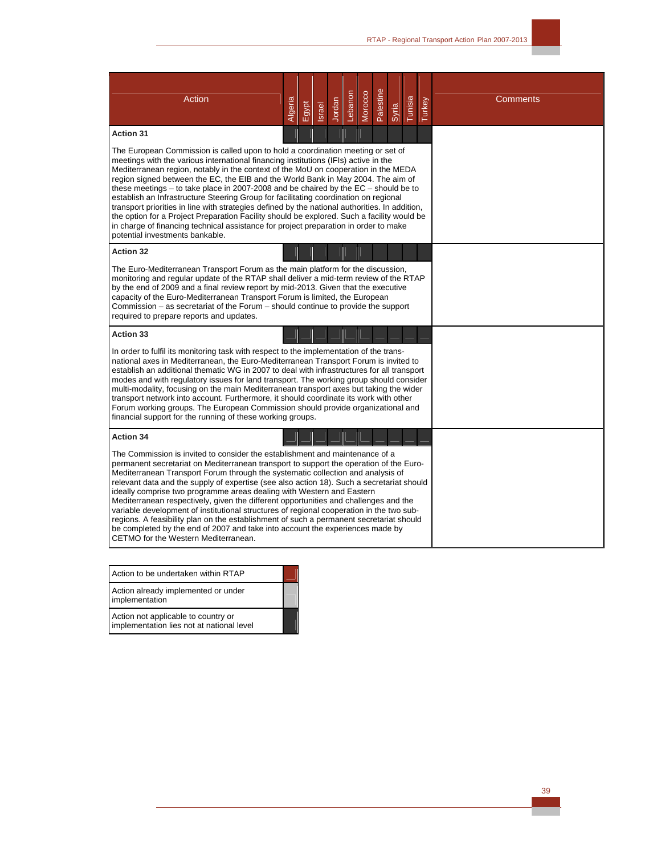| Action                                                                                                                                                                                                                                                                                                                                                                                                                                                                                                                                                                                                                                                                                                                                                                                                                                                         | Algeria | Egypt | <b>Israel</b> | Jordan | Lebanon | Morocco | Palestine | Syria | Tunisia | Turkey | <b>Comments</b> |
|----------------------------------------------------------------------------------------------------------------------------------------------------------------------------------------------------------------------------------------------------------------------------------------------------------------------------------------------------------------------------------------------------------------------------------------------------------------------------------------------------------------------------------------------------------------------------------------------------------------------------------------------------------------------------------------------------------------------------------------------------------------------------------------------------------------------------------------------------------------|---------|-------|---------------|--------|---------|---------|-----------|-------|---------|--------|-----------------|
| <b>Action 31</b>                                                                                                                                                                                                                                                                                                                                                                                                                                                                                                                                                                                                                                                                                                                                                                                                                                               |         |       |               |        |         |         |           |       |         |        |                 |
| The European Commission is called upon to hold a coordination meeting or set of<br>meetings with the various international financing institutions (IFIs) active in the<br>Mediterranean region, notably in the context of the MoU on cooperation in the MEDA<br>region signed between the EC, the EIB and the World Bank in May 2004. The aim of<br>these meetings $-$ to take place in 2007-2008 and be chaired by the $EC$ - should be to<br>establish an Infrastructure Steering Group for facilitating coordination on regional<br>transport priorities in line with strategies defined by the national authorities. In addition,<br>the option for a Project Preparation Facility should be explored. Such a facility would be<br>in charge of financing technical assistance for project preparation in order to make<br>potential investments bankable. |         |       |               |        |         |         |           |       |         |        |                 |
| <b>Action 32</b>                                                                                                                                                                                                                                                                                                                                                                                                                                                                                                                                                                                                                                                                                                                                                                                                                                               |         |       |               |        |         |         |           |       |         |        |                 |
| The Euro-Mediterranean Transport Forum as the main platform for the discussion,<br>monitoring and regular update of the RTAP shall deliver a mid-term review of the RTAP<br>by the end of 2009 and a final review report by mid-2013. Given that the executive<br>capacity of the Euro-Mediterranean Transport Forum is limited, the European<br>Commission – as secretariat of the Forum – should continue to provide the support<br>required to prepare reports and updates.                                                                                                                                                                                                                                                                                                                                                                                 |         |       |               |        |         |         |           |       |         |        |                 |
| <b>Action 33</b>                                                                                                                                                                                                                                                                                                                                                                                                                                                                                                                                                                                                                                                                                                                                                                                                                                               |         |       |               |        |         |         |           |       |         |        |                 |
| In order to fulfil its monitoring task with respect to the implementation of the trans-<br>national axes in Mediterranean, the Euro-Mediterranean Transport Forum is invited to<br>establish an additional thematic WG in 2007 to deal with infrastructures for all transport<br>modes and with regulatory issues for land transport. The working group should consider<br>multi-modality, focusing on the main Mediterranean transport axes but taking the wider<br>transport network into account. Furthermore, it should coordinate its work with other<br>Forum working groups. The European Commission should provide organizational and<br>financial support for the running of these working groups.                                                                                                                                                    |         |       |               |        |         |         |           |       |         |        |                 |
| <b>Action 34</b>                                                                                                                                                                                                                                                                                                                                                                                                                                                                                                                                                                                                                                                                                                                                                                                                                                               |         |       |               |        |         |         |           |       |         |        |                 |
| The Commission is invited to consider the establishment and maintenance of a<br>permanent secretariat on Mediterranean transport to support the operation of the Euro-<br>Mediterranean Transport Forum through the systematic collection and analysis of<br>relevant data and the supply of expertise (see also action 18). Such a secretariat should<br>ideally comprise two programme areas dealing with Western and Eastern<br>Mediterranean respectively, given the different opportunities and challenges and the<br>variable development of institutional structures of regional cooperation in the two sub-<br>regions. A feasibility plan on the establishment of such a permanent secretariat should<br>be completed by the end of 2007 and take into account the experiences made by<br>CETMO for the Western Mediterranean.                        |         |       |               |        |         |         |           |       |         |        |                 |

Action to be undertaken within RTAP

Action already implemented or under implementation

Action not applicable to country or implementation lies not at national level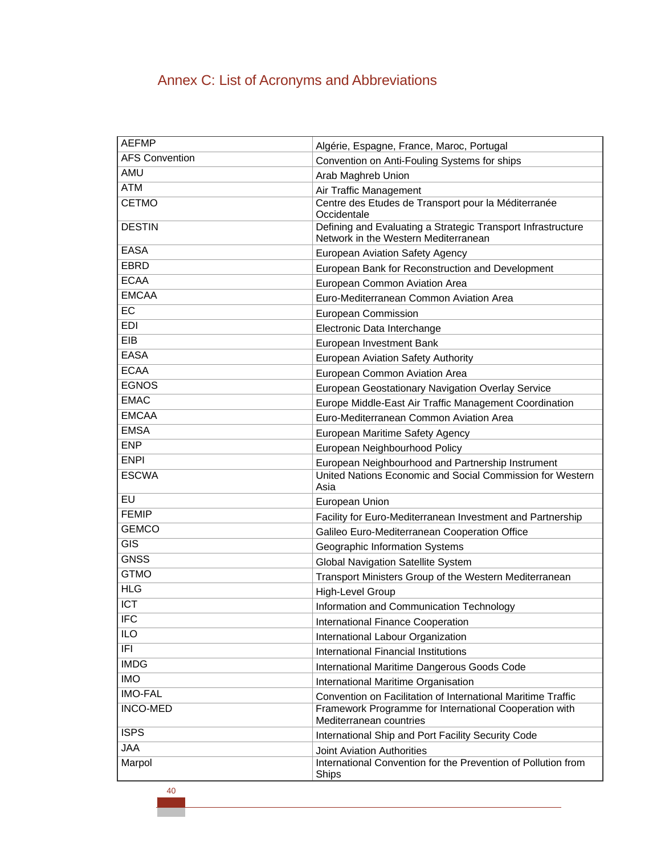# Annex C: List of Acronyms and Abbreviations

| <b>AEFMP</b>          | Algérie, Espagne, France, Maroc, Portugal                                                            |
|-----------------------|------------------------------------------------------------------------------------------------------|
| <b>AFS Convention</b> | Convention on Anti-Fouling Systems for ships                                                         |
| <b>AMU</b>            | Arab Maghreb Union                                                                                   |
| <b>ATM</b>            | Air Traffic Management                                                                               |
| <b>CETMO</b>          | Centre des Etudes de Transport pour la Méditerranée<br>Occidentale                                   |
| <b>DESTIN</b>         | Defining and Evaluating a Strategic Transport Infrastructure<br>Network in the Western Mediterranean |
| <b>EASA</b>           | European Aviation Safety Agency                                                                      |
| <b>EBRD</b>           | European Bank for Reconstruction and Development                                                     |
| <b>ECAA</b>           | European Common Aviation Area                                                                        |
| <b>EMCAA</b>          | Euro-Mediterranean Common Aviation Area                                                              |
| EC                    | European Commission                                                                                  |
| EDI                   | Electronic Data Interchange                                                                          |
| EIB                   | European Investment Bank                                                                             |
| <b>EASA</b>           | European Aviation Safety Authority                                                                   |
| <b>ECAA</b>           | European Common Aviation Area                                                                        |
| <b>EGNOS</b>          | European Geostationary Navigation Overlay Service                                                    |
| <b>EMAC</b>           | Europe Middle-East Air Traffic Management Coordination                                               |
| <b>EMCAA</b>          | Euro-Mediterranean Common Aviation Area                                                              |
| <b>EMSA</b>           | European Maritime Safety Agency                                                                      |
| <b>ENP</b>            | European Neighbourhood Policy                                                                        |
| <b>ENPI</b>           | European Neighbourhood and Partnership Instrument                                                    |
| <b>ESCWA</b>          | United Nations Economic and Social Commission for Western<br>Asia                                    |
| EU                    | European Union                                                                                       |
| <b>FEMIP</b>          | Facility for Euro-Mediterranean Investment and Partnership                                           |
| <b>GEMCO</b>          | Galileo Euro-Mediterranean Cooperation Office                                                        |
| GIS                   | Geographic Information Systems                                                                       |
| <b>GNSS</b>           | <b>Global Navigation Satellite System</b>                                                            |
| <b>GTMO</b>           | Transport Ministers Group of the Western Mediterranean                                               |
| <b>HLG</b>            | <b>High-Level Group</b>                                                                              |
| <b>ICT</b>            | Information and Communication Technology                                                             |
| <b>IFC</b>            | International Finance Cooperation                                                                    |
| <b>ILO</b>            | International Labour Organization                                                                    |
| IFI                   | International Financial Institutions                                                                 |
| <b>IMDG</b>           | International Maritime Dangerous Goods Code                                                          |
| <b>IMO</b>            | International Maritime Organisation                                                                  |
| <b>IMO-FAL</b>        | Convention on Facilitation of International Maritime Traffic                                         |
| <b>INCO-MED</b>       | Framework Programme for International Cooperation with<br>Mediterranean countries                    |
| <b>ISPS</b>           | International Ship and Port Facility Security Code                                                   |
| <b>JAA</b>            | <b>Joint Aviation Authorities</b>                                                                    |
| Marpol                | International Convention for the Prevention of Pollution from<br>Ships                               |